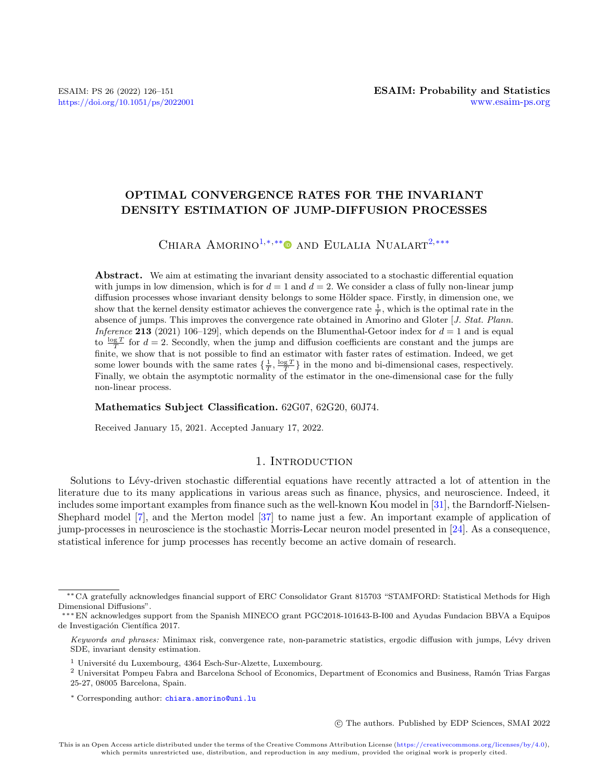# OPTIMAL CONVERGENCE RATES FOR THE INVARIANT DENSITY ESTIMATION OF JUMP-DIFFUSION PROCESSES

# CHIARA AMORINO<sup>[1,](#page-0-0)\*,\*\*</sup> AND EULALIA NUALART<sup>[2,](#page-0-1)\*\*\*</sup>

Abstract. We aim at estimating the invariant density associated to a stochastic differential equation with jumps in low dimension, which is for  $d = 1$  and  $d = 2$ . We consider a class of fully non-linear jump diffusion processes whose invariant density belongs to some Hölder space. Firstly, in dimension one, we show that the kernel density estimator achieves the convergence rate  $\frac{1}{T}$ , which is the optimal rate in the absence of jumps. This improves the convergence rate obtained in Amorino and Gloter [J. Stat. Plann. Inference 213 (2021) 106–129, which depends on the Blumenthal-Getoor index for  $d = 1$  and is equal to  $\frac{\log T}{T}$  for  $d = 2$ . Secondly, when the jump and diffusion coefficients are constant and the jumps are finite, we show that is not possible to find an estimator with faster rates of estimation. Indeed, we get some lower bounds with the same rates  $\{\frac{1}{T}, \frac{\log T}{T}\}\$  in the mono and bi-dimensional cases, respectively. Finally, we obtain the asymptotic normality of the estimator in the one-dimensional case for the fully non-linear process.

## Mathematics Subject Classification. 62G07, 62G20, 60J74.

Received January 15, 2021. Accepted January 17, 2022.

# 1. INTRODUCTION

Solutions to Lévy-driven stochastic differential equations have recently attracted a lot of attention in the literature due to its many applications in various areas such as finance, physics, and neuroscience. Indeed, it includes some important examples from finance such as the well-known Kou model in [\[31\]](#page-25-0), the Barndorff-Nielsen-Shephard model [\[7\]](#page-24-0), and the Merton model [\[37\]](#page-25-1) to name just a few. An important example of application of jump-processes in neuroscience is the stochastic Morris-Lecar neuron model presented in [\[24\]](#page-24-1). As a consequence, statistical inference for jump processes has recently become an active domain of research.

c The authors. Published by EDP Sciences, SMAI 2022

<sup>∗∗</sup>CA gratefully acknowledges financial support of ERC Consolidator Grant 815703 "STAMFORD: Statistical Methods for High Dimensional Diffusions".

<sup>∗∗∗</sup>EN acknowledges support from the Spanish MINECO grant PGC2018-101643-B-I00 and Ayudas Fundacion BBVA a Equipos de Investigación Científica 2017.

<span id="page-0-2"></span>Keywords and phrases: Minimax risk, convergence rate, non-parametric statistics, ergodic diffusion with jumps, Lévy driven SDE, invariant density estimation.

<span id="page-0-0"></span> $^1$ Université du Luxembourg, 4364 Esch-Sur-Alzette, Luxembourg.

<span id="page-0-1"></span><sup>&</sup>lt;sup>2</sup> Universitat Pompeu Fabra and Barcelona School of Economics, Department of Economics and Business, Ramón Trias Fargas 25-27, 08005 Barcelona, Spain.

<sup>\*</sup> Corresponding author: [chiara.amorino@uni.lu](mailto:chiara.amorino@uni.lu)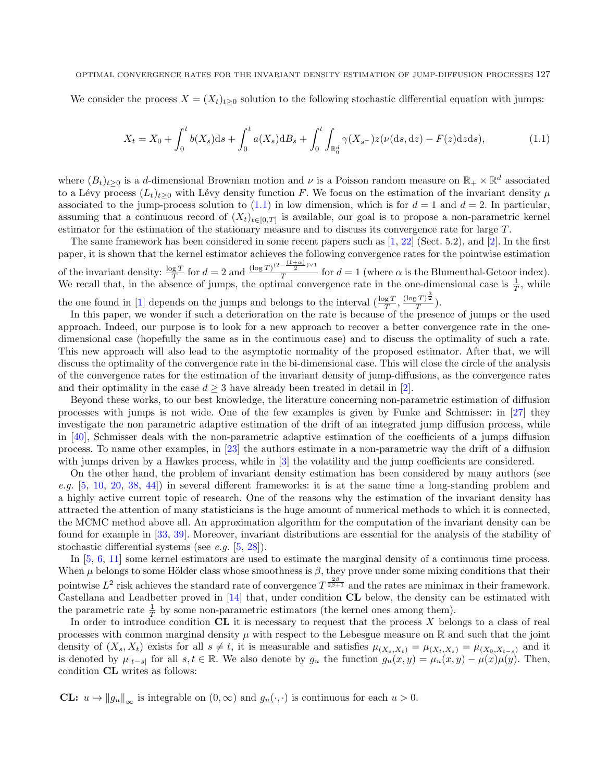#### OPTIMAL CONVERGENCE RATES FOR THE INVARIANT DENSITY ESTIMATION OF JUMP-DIFFUSION PROCESSES 127

We consider the process  $X = (X_t)_{t>0}$  solution to the following stochastic differential equation with jumps:

<span id="page-1-0"></span>
$$
X_t = X_0 + \int_0^t b(X_s)ds + \int_0^t a(X_s)dB_s + \int_0^t \int_{\mathbb{R}_0^d} \gamma(X_{s-})z(\nu(ds, dz) - F(z)dzds),\tag{1.1}
$$

where  $(B_t)_{t\geq0}$  is a d-dimensional Brownian motion and  $\nu$  is a Poisson random measure on  $\mathbb{R}_+\times\mathbb{R}^d$  associated to a Lévy process  $(L_t)_{t>0}$  with Lévy density function F. We focus on the estimation of the invariant density  $\mu$ associated to the jump-process solution to  $(1.1)$  in low dimension, which is for  $d = 1$  and  $d = 2$ . In particular, assuming that a continuous record of  $(X_t)_{t\in[0,T]}$  is available, our goal is to propose a non-parametric kernel estimator for the estimation of the stationary measure and to discuss its convergence rate for large T.

The same framework has been considered in some recent papers such as [\[1,](#page-24-2) [22\]](#page-24-3) (Sect. 5.2), and [\[2\]](#page-24-4). In the first paper, it is shown that the kernel estimator achieves the following convergence rates for the pointwise estimation of the invariant density:  $\frac{\log T}{T}$  for  $d = 2$  and  $\frac{(\log T)^{(2-\frac{(1+\alpha)}{2})\vee 1}}{T}$  $\frac{1}{T}$  for  $d = 1$  (where  $\alpha$  is the Blumenthal-Getoor index). We recall that, in the absence of jumps, the optimal convergence rate in the one-dimensional case is  $\frac{1}{T}$ , while

the one found in [\[1\]](#page-24-2) depends on the jumps and belongs to the interval  $(\frac{\log T}{T}, \frac{(\log T)^{\frac{3}{2}}}{T})$ .

In this paper, we wonder if such a deterioration on the rate is because of the presence of jumps or the used approach. Indeed, our purpose is to look for a new approach to recover a better convergence rate in the onedimensional case (hopefully the same as in the continuous case) and to discuss the optimality of such a rate. This new approach will also lead to the asymptotic normality of the proposed estimator. After that, we will discuss the optimality of the convergence rate in the bi-dimensional case. This will close the circle of the analysis of the convergence rates for the estimation of the invariant density of jump-diffusions, as the convergence rates and their optimality in the case  $d > 3$  have already been treated in detail in [\[2\]](#page-24-4).

Beyond these works, to our best knowledge, the literature concerning non-parametric estimation of diffusion processes with jumps is not wide. One of the few examples is given by Funke and Schmisser: in [\[27\]](#page-24-5) they investigate the non parametric adaptive estimation of the drift of an integrated jump diffusion process, while in [\[40\]](#page-25-2), Schmisser deals with the non-parametric adaptive estimation of the coefficients of a jumps diffusion process. To name other examples, in [\[23\]](#page-24-6) the authors estimate in a non-parametric way the drift of a diffusion with jumps driven by a Hawkes process, while in  $\lceil 3 \rceil$  the volatility and the jump coefficients are considered.

On the other hand, the problem of invariant density estimation has been considered by many authors (see e.g. [\[5,](#page-24-8) [10,](#page-24-9) [20,](#page-24-10) [38,](#page-25-3) [44\]](#page-25-4)) in several different frameworks: it is at the same time a long-standing problem and a highly active current topic of research. One of the reasons why the estimation of the invariant density has attracted the attention of many statisticians is the huge amount of numerical methods to which it is connected, the MCMC method above all. An approximation algorithm for the computation of the invariant density can be found for example in [\[33,](#page-25-5) [39\]](#page-25-6). Moreover, invariant distributions are essential for the analysis of the stability of stochastic differential systems (see e.g. [\[5,](#page-24-8) [28\]](#page-25-7)).

In [\[5,](#page-24-8) [6,](#page-24-11) [11\]](#page-24-12) some kernel estimators are used to estimate the marginal density of a continuous time process. When  $\mu$  belongs to some Hölder class whose smoothness is  $\beta$ , they prove under some mixing conditions that their pointwise  $L^2$  risk achieves the standard rate of convergence  $T^{\frac{2\beta}{2\beta+1}}$  and the rates are minimax in their framework. Castellana and Leadbetter proved in [\[14\]](#page-24-13) that, under condition CL below, the density can be estimated with the parametric rate  $\frac{1}{T}$  by some non-parametric estimators (the kernel ones among them).

In order to introduce condition  $CL$  it is necessary to request that the process X belongs to a class of real processes with common marginal density  $\mu$  with respect to the Lebesgue measure on  $\mathbb R$  and such that the joint density of  $(X_s, X_t)$  exists for all  $s \neq t$ , it is measurable and satisfies  $\mu_{(X_s, X_t)} = \mu_{(X_t, X_s)} = \mu_{(X_0, X_{t-s})}$  and it is denoted by  $\mu_{|t-s|}$  for all  $s, t \in \mathbb{R}$ . We also denote by  $g_u$  the function  $g_u(x, y) = \mu_u(x, y) - \mu(x)\mu(y)$ . Then, condition CL writes as follows:

**CL:**  $u \mapsto ||g_u||_{\infty}$  is integrable on  $(0, \infty)$  and  $g_u(\cdot, \cdot)$  is continuous for each  $u > 0$ .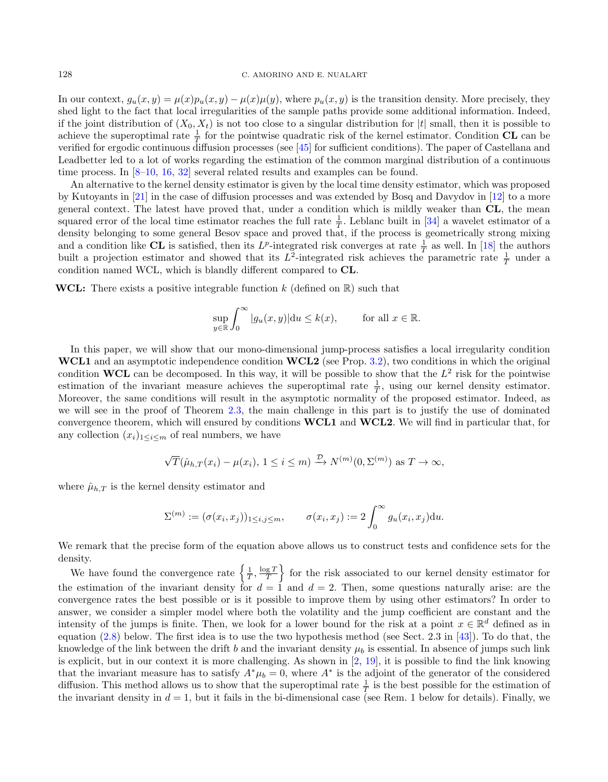#### 128 C. AMORINO AND E. NUALART

In our context,  $g_u(x, y) = \mu(x)p_u(x, y) - \mu(x)\mu(y)$ , where  $p_u(x, y)$  is the transition density. More precisely, they shed light to the fact that local irregularities of the sample paths provide some additional information. Indeed, if the joint distribution of  $(X_0, X_t)$  is not too close to a singular distribution for |t| small, then it is possible to achieve the superoptimal rate  $\frac{1}{T}$  for the pointwise quadratic risk of the kernel estimator. Condition CL can be verified for ergodic continuous diffusion processes (see [\[45\]](#page-25-8) for sufficient conditions). The paper of Castellana and Leadbetter led to a lot of works regarding the estimation of the common marginal distribution of a continuous time process. In  $[8-10, 16, 32]$  $[8-10, 16, 32]$  $[8-10, 16, 32]$  $[8-10, 16, 32]$  $[8-10, 16, 32]$  several related results and examples can be found.

An alternative to the kernel density estimator is given by the local time density estimator, which was proposed by Kutoyants in [\[21\]](#page-24-16) in the case of diffusion processes and was extended by Bosq and Davydov in [\[12\]](#page-24-17) to a more general context. The latest have proved that, under a condition which is mildly weaker than CL, the mean squared error of the local time estimator reaches the full rate  $\frac{1}{T}$ . Leblanc built in [\[34\]](#page-25-10) a wavelet estimator of a density belonging to some general Besov space and proved that, if the process is geometrically strong mixing and a condition like **CL** is satisfied, then its  $L^p$ -integrated risk converges at rate  $\frac{1}{T}$  as well. In [\[18\]](#page-24-18) the authors built a projection estimator and showed that its  $L^2$ -integrated risk achieves the parametric rate  $\frac{1}{T}$  under a condition named WCL, which is blandly different compared to CL.

WCL: There exists a positive integrable function k (defined on  $\mathbb{R}$ ) such that

$$
\sup_{y \in \mathbb{R}} \int_0^\infty |g_u(x, y)| \mathrm{d}u \le k(x), \qquad \text{for all } x \in \mathbb{R}.
$$

In this paper, we will show that our mono-dimensional jump-process satisfies a local irregularity condition WCL1 and an asymptotic independence condition WCL2 (see Prop. [3.2\)](#page-8-0), two conditions in which the original condition WCL can be decomposed. In this way, it will be possible to show that the  $L^2$  risk for the pointwise estimation of the invariant measure achieves the superoptimal rate  $\frac{1}{T}$ , using our kernel density estimator. Moreover, the same conditions will result in the asymptotic normality of the proposed estimator. Indeed, as we will see in the proof of Theorem [2.3,](#page-5-0) the main challenge in this part is to justify the use of dominated convergence theorem, which will ensured by conditions WCL1 and WCL2. We will find in particular that, for any collection  $(x_i)_{1\leq i\leq m}$  of real numbers, we have

$$
\sqrt{T}(\hat{\mu}_{h,T}(x_i) - \mu(x_i), 1 \leq i \leq m) \xrightarrow{\mathcal{D}} N^{(m)}(0, \Sigma^{(m)})
$$
 as  $T \to \infty$ ,

where  $\hat{\mu}_{h,T}$  is the kernel density estimator and

$$
\Sigma^{(m)} := (\sigma(x_i, x_j))_{1 \le i,j \le m}, \qquad \sigma(x_i, x_j) := 2 \int_0^\infty g_u(x_i, x_j) \mathrm{d}u.
$$

We remark that the precise form of the equation above allows us to construct tests and confidence sets for the density.

We have found the convergence rate  $\left\{\frac{1}{T},\frac{\log T}{T}\right\}$  for the risk associated to our kernel density estimator for the estimation of the invariant density for  $d = 1$  and  $d = 2$ . Then, some questions naturally arise: are the convergence rates the best possible or is it possible to improve them by using other estimators? In order to answer, we consider a simpler model where both the volatility and the jump coefficient are constant and the intensity of the jumps is finite. Then, we look for a lower bound for the risk at a point  $x \in \mathbb{R}^d$  defined as in equation [\(2.8\)](#page-6-0) below. The first idea is to use the two hypothesis method (see Sect. 2.3 in [\[43\]](#page-25-11)). To do that, the knowledge of the link between the drift b and the invariant density  $\mu_b$  is essential. In absence of jumps such link is explicit, but in our context it is more challenging. As shown in  $[2, 19]$  $[2, 19]$  $[2, 19]$ , it is possible to find the link knowing that the invariant measure has to satisfy  $A^*\mu_b = 0$ , where  $A^*$  is the adjoint of the generator of the considered diffusion. This method allows us to show that the superoptimal rate  $\frac{1}{T}$  is the best possible for the estimation of the invariant density in  $d = 1$ , but it fails in the bi-dimensional case (see Rem. 1 below for details). Finally, we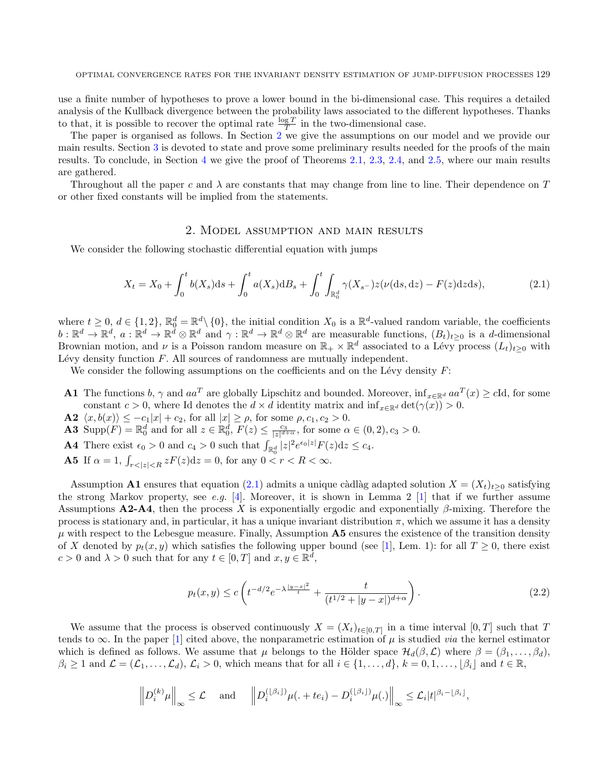use a finite number of hypotheses to prove a lower bound in the bi-dimensional case. This requires a detailed analysis of the Kullback divergence between the probability laws associated to the different hypotheses. Thanks to that, it is possible to recover the optimal rate  $\frac{\log T}{T}$  in the two-dimensional case.

The paper is organised as follows. In Section [2](#page-3-0) we give the assumptions on our model and we provide our main results. Section [3](#page-7-0) is devoted to state and prove some preliminary results needed for the proofs of the main results. To conclude, in Section [4](#page-12-0) we give the proof of Theorems [2.1,](#page-4-0) [2.3,](#page-5-0) [2.4,](#page-6-1) and [2.5,](#page-6-2) where our main results are gathered.

Throughout all the paper c and  $\lambda$  are constants that may change from line to line. Their dependence on T or other fixed constants will be implied from the statements.

#### 2. Model assumption and main results

<span id="page-3-0"></span>We consider the following stochastic differential equation with jumps

<span id="page-3-1"></span>
$$
X_t = X_0 + \int_0^t b(X_s)ds + \int_0^t a(X_s)dB_s + \int_0^t \int_{\mathbb{R}_0^d} \gamma(X_{s-})z(\nu(ds, dz) - F(z)dzds),\tag{2.1}
$$

where  $t \geq 0, d \in \{1,2\}, \mathbb{R}_0^d = \mathbb{R}^d \setminus \{0\}$ , the initial condition  $X_0$  is a  $\mathbb{R}^d$ -valued random variable, the coefficients  $b: \mathbb{R}^d \to \mathbb{R}^d$ ,  $a: \mathbb{R}^d \to \mathbb{R}^d \otimes \mathbb{R}^d$  and  $\gamma: \mathbb{R}^d \to \mathbb{R}^d \otimes \mathbb{R}^d$  are measurable functions,  $(B_t)_{t \geq 0}$  is a d-dimensional Brownian motion, and  $\nu$  is a Poisson random measure on  $\mathbb{R}_+ \times \mathbb{R}^d$  associated to a Lévy process  $(L_t)_{t\geq 0}$  with Lévy density function  $F$ . All sources of randomness are mutually independent.

We consider the following assumptions on the coefficients and on the Lévy density  $F$ :

- **A1** The functions  $b, \gamma$  and  $aa^T$  are globally Lipschitz and bounded. Moreover,  $\inf_{x \in \mathbb{R}^d} aa^T(x) \geq c \text{Id}$ , for some constant  $c > 0$ , where Id denotes the  $d \times d$  identity matrix and  $\inf_{x \in \mathbb{R}^d} \det(\gamma(x)) > 0$ .
- **A2**  $\langle x, b(x) \rangle \leq -c_1|x| + c_2$ , for all  $|x| \geq \rho$ , for some  $\rho, c_1, c_2 > 0$ .
- **A3** Supp $(F) = \mathbb{R}_0^d$  and for all  $z \in \mathbb{R}_0^d$ ,  $F(z) \leq \frac{c_3}{|z|^{d+\alpha}}$ , for some  $\alpha \in (0, 2), c_3 > 0$ .
- **A4** There exist  $\epsilon_0 > 0$  and  $c_4 > 0$  such that  $\int_{\mathbb{R}_0^d} |z|^2 e^{\epsilon_0 |z|} F(z) dz \le c_4$ .
- **A5** If  $\alpha = 1$ ,  $\int_{r < |z| < R} z F(z) dz = 0$ , for any  $0 < r < R < \infty$ .

Assumption A1 ensures that equation [\(2.1\)](#page-3-1) admits a unique càdlàg adapted solution  $X = (X_t)_{t\geq 0}$  satisfying the strong Markov property, see e.g. [\[4\]](#page-24-20). Moreover, it is shown in Lemma 2 [\[1\]](#page-24-2) that if we further assume Assumptions  $A2-A4$ , then the process X is exponentially ergodic and exponentially β-mixing. Therefore the process is stationary and, in particular, it has a unique invariant distribution  $\pi$ , which we assume it has a density  $\mu$  with respect to the Lebesgue measure. Finally, Assumption  $\bf{A5}$  ensures the existence of the transition density of X denoted by  $p_t(x, y)$  which satisfies the following upper bound (see [\[1\]](#page-24-2), Lem. 1): for all  $T \ge 0$ , there exist  $c > 0$  and  $\lambda > 0$  such that for any  $t \in [0, T]$  and  $x, y \in \mathbb{R}^d$ ,

<span id="page-3-2"></span>
$$
p_t(x,y) \le c \left( t^{-d/2} e^{-\lambda \frac{|y-x|^2}{t}} + \frac{t}{(t^{1/2} + |y-x|)^{d+\alpha}} \right).
$$
 (2.2)

We assume that the process is observed continuously  $X = (X_t)_{t \in [0,T]}$  in a time interval  $[0,T]$  such that T tends to  $\infty$ . In the paper [\[1\]](#page-24-2) cited above, the nonparametric estimation of  $\mu$  is studied via the kernel estimator which is defined as follows. We assume that  $\mu$  belongs to the Hölder space  $\mathcal{H}_d(\beta,\mathcal{L})$  where  $\beta = (\beta_1,\ldots,\beta_d)$ ,  $\beta_i \geq 1$  and  $\mathcal{L} = (\mathcal{L}_1, \ldots, \mathcal{L}_d), \mathcal{L}_i > 0$ , which means that for all  $i \in \{1, \ldots, d\}, k = 0, 1, \ldots, \lfloor \beta_i \rfloor$  and  $t \in \mathbb{R}$ ,

$$
\left\| D_i^{(k)} \mu \right\|_{\infty} \leq \mathcal{L}
$$
 and  $\left\| D_i^{(\lfloor \beta_i \rfloor)} \mu(. + te_i) - D_i^{(\lfloor \beta_i \rfloor)} \mu(.) \right\|_{\infty} \leq \mathcal{L}_i |t|^{\beta_i - \lfloor \beta_i \rfloor},$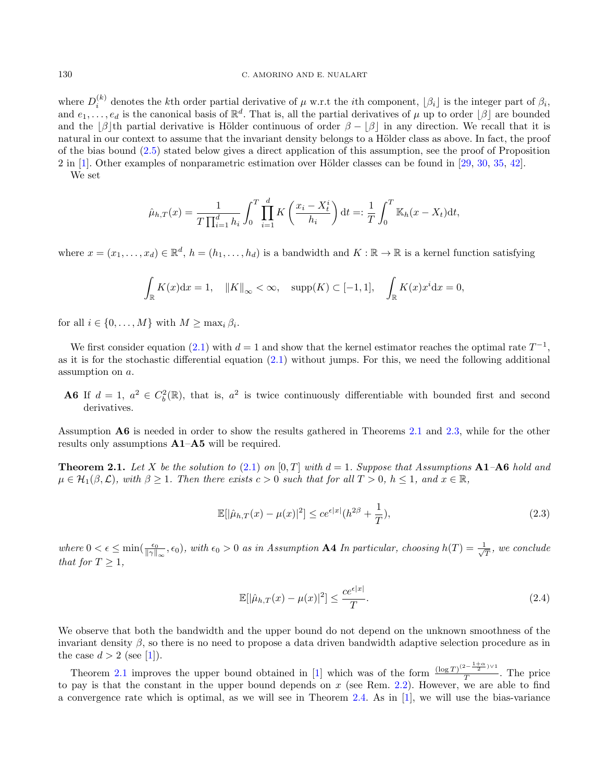#### 130 C. AMORINO AND E. NUALART

where  $D_i^{(k)}$  denotes the kth order partial derivative of  $\mu$  w.r.t the *i*th component,  $[\beta_i]$  is the integer part of  $\beta_i$ , and  $e_1, \ldots, e_d$  is the canonical basis of  $\mathbb{R}^d$ . That is, all the partial derivatives of  $\mu$  up to order  $[\beta]$  are bounded and the  $\beta$ |th partial derivative is Hölder continuous of order  $\beta - \beta$ | in any direction. We recall that it is natural in our context to assume that the invariant density belongs to a Hölder class as above. In fact, the proof of the bias bound [\(2.5\)](#page-5-1) stated below gives a direct application of this assumption, see the proof of Proposition  $2 \text{ in } [1]$  $2 \text{ in } [1]$ . Other examples of nonparametric estimation over Hölder classes can be found in [\[29,](#page-25-12) [30,](#page-25-13) [35,](#page-25-14) [42\]](#page-25-15).

We set

$$
\hat{\mu}_{h,T}(x) = \frac{1}{T \prod_{i=1}^d h_i} \int_0^T \prod_{i=1}^d K\left(\frac{x_i - X_t^i}{h_i}\right) dt =: \frac{1}{T} \int_0^T \mathbb{K}_h(x - X_t) dt,
$$

where  $x = (x_1, \ldots, x_d) \in \mathbb{R}^d$ ,  $h = (h_1, \ldots, h_d)$  is a bandwidth and  $K : \mathbb{R} \to \mathbb{R}$  is a kernel function satisfying

$$
\int_{\mathbb{R}} K(x) dx = 1, \quad ||K||_{\infty} < \infty, \quad \text{supp}(K) \subset [-1, 1], \quad \int_{\mathbb{R}} K(x) x^{i} dx = 0,
$$

for all  $i \in \{0, ..., M\}$  with  $M \ge \max_i \beta_i$ .

We first consider equation [\(2.1\)](#page-3-1) with  $d = 1$  and show that the kernel estimator reaches the optimal rate  $T^{-1}$ , as it is for the stochastic differential equation  $(2.1)$  without jumps. For this, we need the following additional assumption on a.

**A6** If  $d = 1$ ,  $a^2 \in C_b^2(\mathbb{R})$ , that is,  $a^2$  is twice continuously differentiable with bounded first and second derivatives.

Assumption A6 is needed in order to show the results gathered in Theorems [2.1](#page-4-0) and [2.3,](#page-5-0) while for the other results only assumptions A1–A5 will be required.

<span id="page-4-0"></span>**Theorem 2.1.** Let X be the solution to [\(2.1\)](#page-3-1) on [0, T] with  $d = 1$ . Suppose that Assumptions **A1–A6** hold and  $\mu \in \mathcal{H}_1(\beta, \mathcal{L})$ , with  $\beta \geq 1$ . Then there exists  $c > 0$  such that for all  $T > 0$ ,  $h \leq 1$ , and  $x \in \mathbb{R}$ ,

<span id="page-4-1"></span>
$$
\mathbb{E}[|\hat{\mu}_{h,T}(x) - \mu(x)|^2] \le ce^{\epsilon|x|}(h^{2\beta} + \frac{1}{T}),\tag{2.3}
$$

where  $0 < \epsilon \le \min(\frac{\epsilon_0}{\|\gamma\|_{\infty}}, \epsilon_0)$ , with  $\epsilon_0 > 0$  as in Assumption **A4** In particular, choosing  $h(T) = \frac{1}{\sqrt{T}}$  $\frac{1}{\overline{T}}$ , we conclude that for  $T \geq 1$ ,

<span id="page-4-2"></span>
$$
\mathbb{E}[\left|\hat{\mu}_{h,T}(x) - \mu(x)\right|^2] \le \frac{ce^{\epsilon|x|}}{T}.\tag{2.4}
$$

We observe that both the bandwidth and the upper bound do not depend on the unknown smoothness of the invariant density  $\beta$ , so there is no need to propose a data driven bandwidth adaptive selection procedure as in the case  $d > 2$  (see [\[1\]](#page-24-2)).

Theorem [2.1](#page-4-0) improves the upper bound obtained in [\[1\]](#page-24-2) which was of the form  $\frac{(\log T)^{(2-\frac{1+\alpha}{2})\vee 1}}{T}$  $\frac{2}{T}$ . The price to pay is that the constant in the upper bound depends on  $x$  (see Rem. [2.2\)](#page-5-2). However, we are able to find a convergence rate which is optimal, as we will see in Theorem [2.4.](#page-6-1) As in [\[1\]](#page-24-2), we will use the bias-variance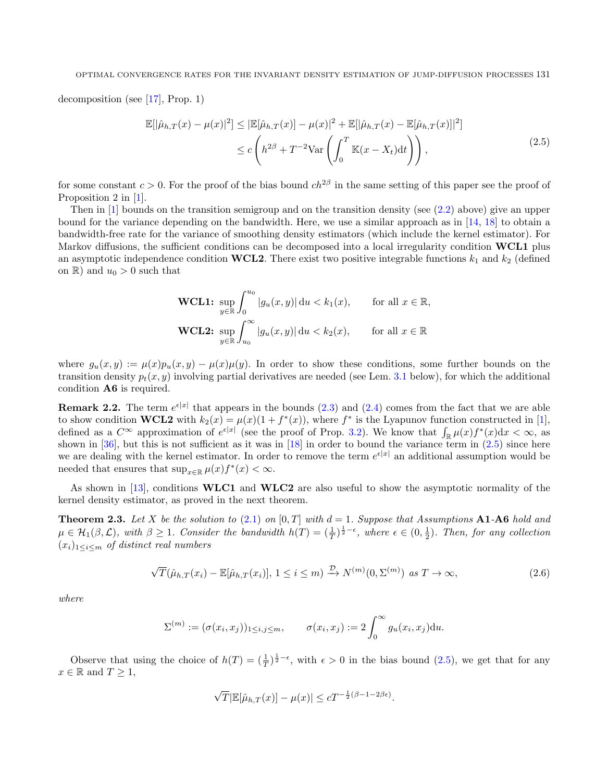<span id="page-5-1"></span>decomposition (see [\[17\]](#page-24-21), Prop. 1)

$$
\mathbb{E}[\left|\hat{\mu}_{h,T}(x) - \mu(x)\right|^2] \leq |\mathbb{E}[\hat{\mu}_{h,T}(x)] - \mu(x)|^2 + \mathbb{E}[\left|\hat{\mu}_{h,T}(x) - \mathbb{E}[\hat{\mu}_{h,T}(x)]\right|^2]
$$
  

$$
\leq c \left(h^{2\beta} + T^{-2} \text{Var}\left(\int_0^T \mathbb{K}(x - X_t) dt\right)\right),
$$
 (2.5)

for some constant  $c > 0$ . For the proof of the bias bound  $ch^{2\beta}$  in the same setting of this paper see the proof of Proposition 2 in [\[1\]](#page-24-2).

Then in [\[1\]](#page-24-2) bounds on the transition semigroup and on the transition density (see [\(2.2\)](#page-3-2) above) give an upper bound for the variance depending on the bandwidth. Here, we use a similar approach as in [\[14,](#page-24-13) [18\]](#page-24-18) to obtain a bandwidth-free rate for the variance of smoothing density estimators (which include the kernel estimator). For Markov diffusions, the sufficient conditions can be decomposed into a local irregularity condition **WCL1** plus an asymptotic independence condition WCL2. There exist two positive integrable functions  $k_1$  and  $k_2$  (defined on R) and  $u_0 > 0$  such that

**WCL1:** 
$$
\sup_{y \in \mathbb{R}} \int_0^{u_0} |g_u(x, y)| \, \mathrm{d}u < k_1(x), \qquad \text{for all } x \in \mathbb{R},
$$
  
**WCL2:** 
$$
\sup_{y \in \mathbb{R}} \int_{u_0}^{\infty} |g_u(x, y)| \, \mathrm{d}u < k_2(x), \qquad \text{for all } x \in \mathbb{R}
$$

where  $g_u(x, y) := \mu(x)p_u(x, y) - \mu(x)\mu(y)$ . In order to show these conditions, some further bounds on the transition density  $p_t(x, y)$  involving partial derivatives are needed (see Lem. [3.1](#page-7-1) below), for which the additional condition A6 is required.

<span id="page-5-2"></span>**Remark 2.2.** The term  $e^{\epsilon|x|}$  that appears in the bounds [\(2.3\)](#page-4-1) and [\(2.4\)](#page-4-2) comes from the fact that we are able to show condition **WCL2** with  $k_2(x) = \mu(x)(1 + f^*(x))$ , where  $f^*$  is the Lyapunov function constructed in [\[1\]](#page-24-2), defined as a  $C^{\infty}$  approximation of  $e^{\epsilon |x|}$  (see the proof of Prop. [3.2\)](#page-8-0). We know that  $\int_{\mathbb{R}} \mu(x) f^*(x) dx < \infty$ , as shown in  $[36]$ , but this is not sufficient as it was in  $[18]$  in order to bound the variance term in  $(2.5)$  since here we are dealing with the kernel estimator. In order to remove the term  $e^{\epsilon |x|}$  an additional assumption would be needed that ensures that  $\sup_{x \in \mathbb{R}} \mu(x) f^*(x) < \infty$ .

As shown in [\[13\]](#page-24-22), conditions WLC1 and WLC2 are also useful to show the asymptotic normality of the kernel density estimator, as proved in the next theorem.

<span id="page-5-0"></span>**Theorem 2.3.** Let X be the solution to [\(2.1\)](#page-3-1) on [0, T] with  $d = 1$ . Suppose that Assumptions A1-A6 hold and  $\mu \in \mathcal{H}_1(\beta, \mathcal{L})$ , with  $\beta \geq 1$ . Consider the bandwidth  $h(T) = (\frac{1}{T})^{\frac{1}{2}-\epsilon}$ , where  $\epsilon \in (0, \frac{1}{2})$ . Then, for any collection  $(x_i)_{1\leq i\leq m}$  of distinct real numbers

<span id="page-5-3"></span>
$$
\sqrt{T}(\hat{\mu}_{h,T}(x_i) - \mathbb{E}[\hat{\mu}_{h,T}(x_i)], 1 \le i \le m) \xrightarrow{\mathcal{D}} N^{(m)}(0, \Sigma^{(m)}) \text{ as } T \to \infty,
$$
\n(2.6)

where

$$
\Sigma^{(m)} := (\sigma(x_i, x_j))_{1 \le i, j \le m}, \qquad \sigma(x_i, x_j) := 2 \int_0^\infty g_u(x_i, x_j) \mathrm{d}u.
$$

Observe that using the choice of  $h(T)=(\frac{1}{T})^{\frac{1}{2}-\epsilon}$ , with  $\epsilon>0$  in the bias bound [\(2.5\)](#page-5-1), we get that for any  $x \in \mathbb{R}$  and  $T \geq 1$ ,

$$
\sqrt{T}|\mathbb{E}[\hat{\mu}_{h,T}(x)] - \mu(x)| \le cT^{-\frac{1}{2}(\beta - 1 - 2\beta\epsilon)}.
$$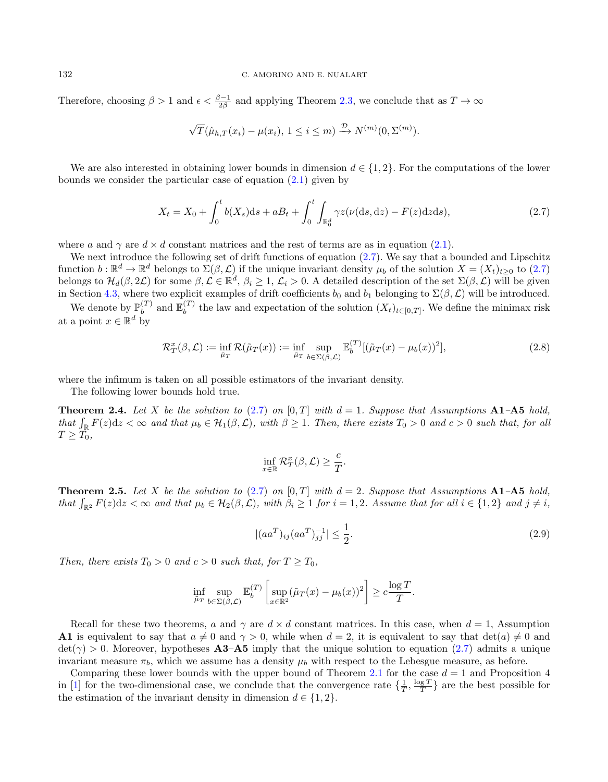Therefore, choosing  $\beta > 1$  and  $\epsilon < \frac{\beta - 1}{2\beta}$  and applying Theorem [2.3,](#page-5-0) we conclude that as  $T \to \infty$ 

$$
\sqrt{T}(\hat{\mu}_{h,T}(x_i) - \mu(x_i), 1 \leq i \leq m) \xrightarrow{\mathcal{D}} N^{(m)}(0, \Sigma^{(m)}).
$$

We are also interested in obtaining lower bounds in dimension  $d \in \{1, 2\}$ . For the computations of the lower bounds we consider the particular case of equation [\(2.1\)](#page-3-1) given by

<span id="page-6-3"></span>
$$
X_t = X_0 + \int_0^t b(X_s)ds + aB_t + \int_0^t \int_{\mathbb{R}_0^d} \gamma z(\nu(ds, dz) - F(z)dzds), \tag{2.7}
$$

where a and  $\gamma$  are  $d \times d$  constant matrices and the rest of terms are as in equation [\(2.1\)](#page-3-1).

We next introduce the following set of drift functions of equation  $(2.7)$ . We say that a bounded and Lipschitz function  $b: \mathbb{R}^d \to \mathbb{R}^d$  belongs to  $\Sigma(\beta, \mathcal{L})$  if the unique invariant density  $\mu_b$  of the solution  $X = (X_t)_{t \geq 0}$  to  $(2.7)$ belongs to  $\mathcal{H}_d(\beta, 2\mathcal{L})$  for some  $\beta, \mathcal{L} \in \mathbb{R}^d$ ,  $\beta_i \geq 1$ ,  $\mathcal{L}_i > 0$ . A detailed description of the set  $\Sigma(\beta, \mathcal{L})$  will be given in Section [4.3,](#page-15-0) where two explicit examples of drift coefficients  $b_0$  and  $b_1$  belonging to  $\Sigma(\beta,\mathcal{L})$  will be introduced.

We denote by  $\mathbb{P}_{h}^{(T)}$  $\mathbf{E}_{b}^{(T)}$  and  $\mathbb{E}_{b}^{(T)}$  $b<sup>{t}</sup>$  the law and expectation of the solution  $(X_t)_{t\in[0,T]}$ . We define the minimax risk at a point  $x \in \mathbb{R}^d$  by

<span id="page-6-0"></span>
$$
\mathcal{R}_T^x(\beta, \mathcal{L}) := \inf_{\tilde{\mu}_T} \mathcal{R}(\tilde{\mu}_T(x)) := \inf_{\tilde{\mu}_T} \sup_{b \in \Sigma(\beta, \mathcal{L})} \mathbb{E}_b^{(T)}[(\tilde{\mu}_T(x) - \mu_b(x))^2],\tag{2.8}
$$

where the infimum is taken on all possible estimators of the invariant density.

The following lower bounds hold true.

<span id="page-6-1"></span>**Theorem 2.4.** Let X be the solution to [\(2.7\)](#page-6-3) on [0, T] with  $d = 1$ . Suppose that Assumptions A1–A5 hold, that  $\int_{\mathbb{R}} F(z) dz < \infty$  and that  $\mu_b \in \mathcal{H}_1(\beta, \mathcal{L})$ , with  $\beta \geq 1$ . Then, there exists  $T_0 > 0$  and  $c > 0$  such that, for all  $T \geq T_0$ ,

$$
\inf_{x \in \mathbb{R}} \mathcal{R}_T^x(\beta, \mathcal{L}) \ge \frac{c}{T}.
$$

<span id="page-6-2"></span>**Theorem 2.5.** Let X be the solution to [\(2.7\)](#page-6-3) on [0, T] with  $d = 2$ . Suppose that Assumptions A1–A5 hold, that  $\int_{\mathbb{R}^2} F(z) dz < \infty$  and that  $\mu_b \in \mathcal{H}_2(\beta, \mathcal{L})$ , with  $\beta_i \geq 1$  for  $i = 1, 2$ . Assume that for all  $i \in \{1, 2\}$  and  $j \neq i$ ,

<span id="page-6-4"></span>
$$
|(aa^T)_{ij}(aa^T)_{jj}^{-1}| \le \frac{1}{2}.\tag{2.9}
$$

Then, there exists  $T_0 > 0$  and  $c > 0$  such that, for  $T \geq T_0$ ,

$$
\inf_{\tilde{\mu}_T} \sup_{b \in \Sigma(\beta,\mathcal{L})} \mathbb{E}_b^{(T)} \left[ \sup_{x \in \mathbb{R}^2} (\tilde{\mu}_T(x) - \mu_b(x))^2 \right] \geq c \frac{\log T}{T}.
$$

Recall for these two theorems, a and  $\gamma$  are  $d \times d$  constant matrices. In this case, when  $d = 1$ , Assumption A1 is equivalent to say that  $a \neq 0$  and  $\gamma > 0$ , while when  $d = 2$ , it is equivalent to say that  $det(a) \neq 0$  and  $\det(\gamma) > 0$ . Moreover, hypotheses **A3–A5** imply that the unique solution to equation [\(2.7\)](#page-6-3) admits a unique invariant measure  $\pi_b$ , which we assume has a density  $\mu_b$  with respect to the Lebesgue measure, as before.

Comparing these lower bounds with the upper bound of Theorem [2.1](#page-4-0) for the case  $d = 1$  and Proposition 4 in [\[1\]](#page-24-2) for the two-dimensional case, we conclude that the convergence rate  $\{\frac{1}{T}, \frac{\log T}{T}\}\$  are the best possible for the estimation of the invariant density in dimension  $d \in \{1, 2\}.$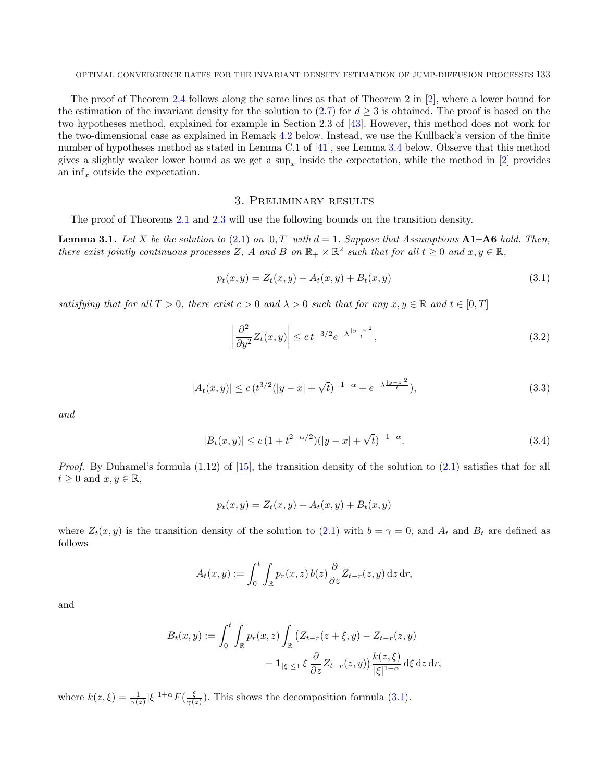OPTIMAL CONVERGENCE RATES FOR THE INVARIANT DENSITY ESTIMATION OF JUMP-DIFFUSION PROCESSES 133

The proof of Theorem [2.4](#page-6-1) follows along the same lines as that of Theorem 2 in [\[2\]](#page-24-4), where a lower bound for the estimation of the invariant density for the solution to  $(2.7)$  for  $d > 3$  is obtained. The proof is based on the two hypotheses method, explained for example in Section 2.3 of [\[43\]](#page-25-11). However, this method does not work for the two-dimensional case as explained in Remark [4.2](#page-18-0) below. Instead, we use the Kullback's version of the finite number of hypotheses method as stated in Lemma C.1 of [\[41\]](#page-25-17), see Lemma [3.4](#page-11-0) below. Observe that this method gives a slightly weaker lower bound as we get a  $\sup_x$  inside the expectation, while the method in [\[2\]](#page-24-4) provides an  $\inf_x$  outside the expectation.

# 3. Preliminary results

<span id="page-7-0"></span>The proof of Theorems [2.1](#page-4-0) and [2.3](#page-5-0) will use the following bounds on the transition density.

<span id="page-7-1"></span>**Lemma 3.1.** Let X be the solution to [\(2.1\)](#page-3-1) on [0, T] with  $d = 1$ . Suppose that Assumptions **A1–A6** hold. Then, there exist jointly continuous processes Z, A and B on  $\mathbb{R}_+ \times \mathbb{R}^2$  such that for all  $t \geq 0$  and  $x, y \in \mathbb{R}$ ,

<span id="page-7-2"></span>
$$
p_t(x, y) = Z_t(x, y) + A_t(x, y) + B_t(x, y)
$$
\n(3.1)

satisfying that for all  $T > 0$ , there exist  $c > 0$  and  $\lambda > 0$  such that for any  $x, y \in \mathbb{R}$  and  $t \in [0, T]$ 

<span id="page-7-3"></span>
$$
\left| \frac{\partial^2}{\partial y^2} Z_t(x, y) \right| \le c \, t^{-3/2} e^{-\lambda \frac{|y - x|^2}{t}},\tag{3.2}
$$

<span id="page-7-4"></span>
$$
|A_t(x,y)| \le c \left( t^{3/2} (|y-x| + \sqrt{t})^{-1-\alpha} + e^{-\lambda \frac{|y-z|^2}{t}} \right),\tag{3.3}
$$

and

<span id="page-7-5"></span>
$$
|B_t(x,y)| \le c\left(1 + t^{2-\alpha/2}\right)(|y-x| + \sqrt{t})^{-1-\alpha}.
$$
\n(3.4)

*Proof.* By Duhamel's formula (1.12) of [\[15\]](#page-24-23), the transition density of the solution to [\(2.1\)](#page-3-1) satisfies that for all  $t \geq 0$  and  $x, y \in \mathbb{R}$ ,

$$
p_t(x, y) = Z_t(x, y) + A_t(x, y) + B_t(x, y)
$$

where  $Z_t(x, y)$  is the transition density of the solution to [\(2.1\)](#page-3-1) with  $b = \gamma = 0$ , and  $A_t$  and  $B_t$  are defined as follows

$$
A_t(x,y) := \int_0^t \int_{\mathbb{R}} p_r(x,z) b(z) \frac{\partial}{\partial z} Z_{t-r}(z,y) dz dr,
$$

and

$$
B_t(x,y) := \int_0^t \int_{\mathbb{R}} p_r(x,z) \int_{\mathbb{R}} (Z_{t-r}(z+\xi,y) - Z_{t-r}(z,y)) - \mathbf{1}_{|\xi| \le 1} \xi \frac{\partial}{\partial z} Z_{t-r}(z,y)) \frac{k(z,\xi)}{|\xi|^{1+\alpha}} d\xi dz dr,
$$

where  $k(z,\xi) = \frac{1}{\gamma(z)} |\xi|^{1+\alpha} F(\frac{\xi}{\gamma(z)})$ . This shows the decomposition formula [\(3.1\)](#page-7-2).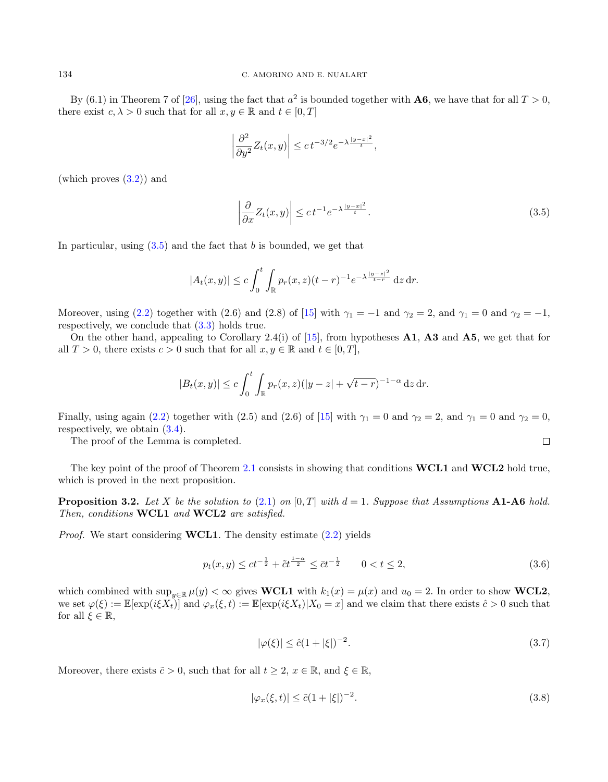By (6.1) in Theorem 7 of [\[26\]](#page-24-24), using the fact that  $a^2$  is bounded together with **A6**, we have that for all  $T > 0$ , there exist  $c, \lambda > 0$  such that for all  $x, y \in \mathbb{R}$  and  $t \in [0, T]$ 

$$
\left|\frac{\partial^2}{\partial y^2}Z_t(x,y)\right| \le ct^{-3/2}e^{-\lambda\frac{|y-x|^2}{t}},
$$

(which proves [\(3.2\)](#page-7-3)) and

<span id="page-8-1"></span>
$$
\left| \frac{\partial}{\partial x} Z_t(x, y) \right| \le c \, t^{-1} e^{-\lambda \frac{|y - x|^2}{t}}. \tag{3.5}
$$

In particular, using  $(3.5)$  and the fact that b is bounded, we get that

$$
|A_t(x,y)| \le c \int_0^t \int_{\mathbb{R}} p_r(x,z)(t-r)^{-1} e^{-\lambda \frac{|y-z|^2}{t-r}} dz dr.
$$

Moreover, using [\(2.2\)](#page-3-2) together with (2.6) and (2.8) of [\[15\]](#page-24-23) with  $\gamma_1 = -1$  and  $\gamma_2 = 2$ , and  $\gamma_1 = 0$  and  $\gamma_2 = -1$ , respectively, we conclude that [\(3.3\)](#page-7-4) holds true.

On the other hand, appealing to Corollary 2.4(i) of [\[15\]](#page-24-23), from hypotheses  $\mathbf{A1}$ ,  $\mathbf{A3}$  and  $\mathbf{A5}$ , we get that for all  $T > 0$ , there exists  $c > 0$  such that for all  $x, y \in \mathbb{R}$  and  $t \in [0, T]$ ,

$$
|B_t(x,y)| \le c \int_0^t \int_{\mathbb{R}} p_r(x,z) (|y-z| + \sqrt{t-r})^{-1-\alpha} dz dr.
$$

Finally, using again [\(2.2\)](#page-3-2) together with (2.5) and (2.6) of [\[15\]](#page-24-23) with  $\gamma_1 = 0$  and  $\gamma_2 = 2$ , and  $\gamma_1 = 0$  and  $\gamma_2 = 0$ , respectively, we obtain [\(3.4\)](#page-7-5).

The proof of the Lemma is completed.

The key point of the proof of Theorem [2.1](#page-4-0) consists in showing that conditions **WCL1** and **WCL2** hold true, which is proved in the next proposition.

<span id="page-8-0"></span>**Proposition 3.2.** Let X be the solution to [\(2.1\)](#page-3-1) on [0, T] with  $d = 1$ . Suppose that Assumptions A1-A6 hold. Then, conditions WCL1 and WCL2 are satisfied.

*Proof.* We start considering **WCL1**. The density estimate  $(2.2)$  yields

$$
p_t(x,y) \le ct^{-\frac{1}{2}} + \tilde{c}t^{\frac{1-\alpha}{2}} \le \bar{c}t^{-\frac{1}{2}} \qquad 0 < t \le 2,\tag{3.6}
$$

which combined with  $\sup_{y\in\mathbb{R}} \mu(y) < \infty$  gives WCL1 with  $k_1(x) = \mu(x)$  and  $u_0 = 2$ . In order to show WCL2, we set  $\varphi(\xi) := \mathbb{E}[\exp(i\xi X_t)]$  and  $\varphi_x(\xi, t) := \mathbb{E}[\exp(i\xi X_t)|X_0 = x]$  and we claim that there exists  $\hat{c} > 0$  such that for all  $\xi \in \mathbb{R}$ ,

<span id="page-8-2"></span>
$$
|\varphi(\xi)| \le \hat{c}(1 + |\xi|)^{-2}.\tag{3.7}
$$

Moreover, there exists  $\tilde{c} > 0$ , such that for all  $t \geq 2$ ,  $x \in \mathbb{R}$ , and  $\xi \in \mathbb{R}$ ,

<span id="page-8-3"></span>
$$
|\varphi_x(\xi, t)| \le \tilde{c} (1 + |\xi|)^{-2}.\tag{3.8}
$$

 $\Box$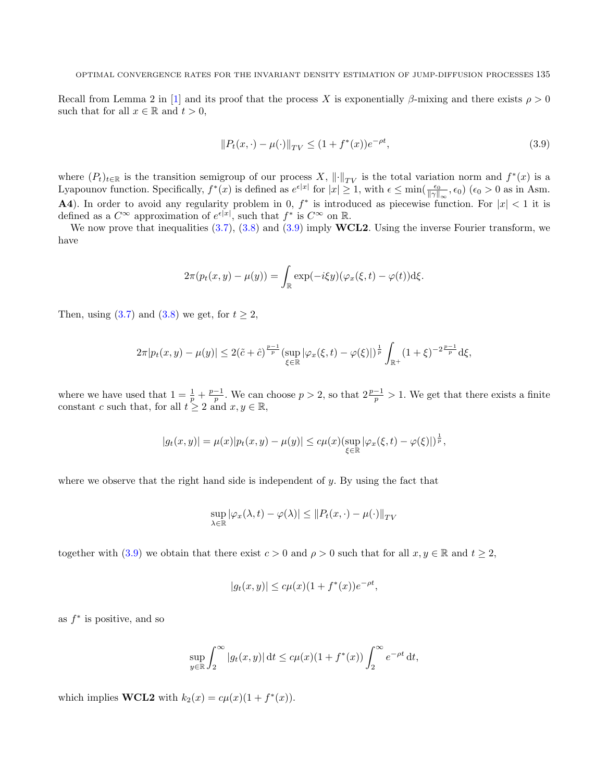Recall from Lemma 2 in [\[1\]](#page-24-2) and its proof that the process X is exponentially  $\beta$ -mixing and there exists  $\rho > 0$ such that for all  $x \in \mathbb{R}$  and  $t > 0$ ,

<span id="page-9-0"></span>
$$
||P_t(x, \cdot) - \mu(\cdot)||_{TV} \le (1 + f^*(x))e^{-\rho t},\tag{3.9}
$$

where  $(P_t)_{t\in\mathbb{R}}$  is the transition semigroup of our process  $X$ ,  $\|\cdot\|_{TV}$  is the total variation norm and  $f^*(x)$  is a Lyapounov function. Specifically,  $f^*(x)$  is defined as  $e^{\epsilon|x|}$  for  $|x| \geq 1$ , with  $\epsilon \leq \min(\frac{\epsilon_0}{\|\gamma\|_{\infty}}, \epsilon_0)$   $(\epsilon_0 > 0$  as in Asm. **A4**). In order to avoid any regularity problem in 0,  $f^*$  is introduced as piecewise function. For  $|x| < 1$  it is defined as a  $C^{\infty}$  approximation of  $e^{\epsilon |x|}$ , such that  $f^*$  is  $C^{\infty}$  on  $\mathbb{R}$ .

We now prove that inequalities  $(3.7)$ ,  $(3.8)$  and  $(3.9)$  imply **WCL2**. Using the inverse Fourier transform, we have

$$
2\pi(p_t(x,y) - \mu(y)) = \int_{\mathbb{R}} \exp(-i\xi y)(\varphi_x(\xi, t) - \varphi(t))\mathrm{d}\xi.
$$

Then, using  $(3.7)$  and  $(3.8)$  we get, for  $t > 2$ ,

$$
2\pi|p_t(x,y)-\mu(y)| \leq 2(\tilde{c}+\hat{c})^{\frac{p-1}{p}}(\sup_{\xi\in\mathbb{R}}|\varphi_x(\xi,t)-\varphi(\xi)|)^{\frac{1}{p}}\int_{\mathbb{R}^+}(1+\xi)^{-2\frac{p-1}{p}}d\xi,
$$

where we have used that  $1 = \frac{1}{p} + \frac{p-1}{p}$ . We can choose  $p > 2$ , so that  $2\frac{p-1}{p} > 1$ . We get that there exists a finite constant c such that, for all  $t \geq 2$  and  $x, y \in \mathbb{R}$ ,

$$
|g_t(x,y)| = \mu(x)|p_t(x,y) - \mu(y)| \leq c\mu(x) \left(\sup_{\xi \in \mathbb{R}} |\varphi_x(\xi, t) - \varphi(\xi)|\right)^{\frac{1}{p}},
$$

where we observe that the right hand side is independent of  $y$ . By using the fact that

$$
\sup_{\lambda \in \mathbb{R}} |\varphi_x(\lambda, t) - \varphi(\lambda)| \le ||P_t(x, \cdot) - \mu(\cdot)||_{TV}
$$

together with [\(3.9\)](#page-9-0) we obtain that there exist  $c > 0$  and  $\rho > 0$  such that for all  $x, y \in \mathbb{R}$  and  $t \geq 2$ ,

$$
|g_t(x, y)| \le c\mu(x)(1 + f^*(x))e^{-\rho t},
$$

as  $f^*$  is positive, and so

$$
\sup_{y \in \mathbb{R}} \int_2^\infty |g_t(x, y)| \, \mathrm{d}t \le c\mu(x) (1 + f^*(x)) \int_2^\infty e^{-\rho t} \, \mathrm{d}t,
$$

which implies **WCL2** with  $k_2(x) = c\mu(x)(1 + f^*(x)).$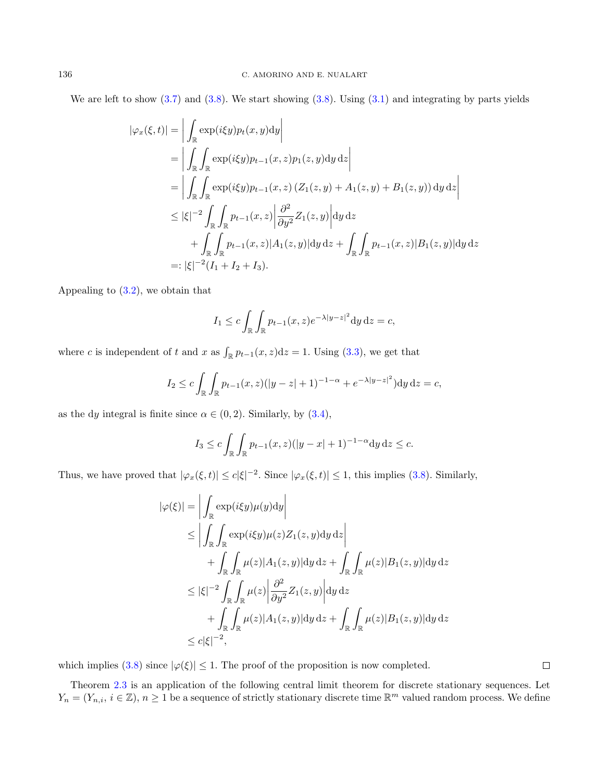We are left to show  $(3.7)$  and  $(3.8)$ . We start showing  $(3.8)$ . Using  $(3.1)$  and integrating by parts yields

$$
\begin{aligned}\n|\varphi_x(\xi, t)| &= \left| \int_{\mathbb{R}} \exp(i\xi y) p_t(x, y) dy \right| \\
&= \left| \int_{\mathbb{R}} \int_{\mathbb{R}} \exp(i\xi y) p_{t-1}(x, z) p_1(z, y) dy dz \right| \\
&= \left| \int_{\mathbb{R}} \int_{\mathbb{R}} \exp(i\xi y) p_{t-1}(x, z) (Z_1(z, y) + A_1(z, y) + B_1(z, y)) dy dz \right| \\
&\leq |\xi|^{-2} \int_{\mathbb{R}} \int_{\mathbb{R}} p_{t-1}(x, z) \left| \frac{\partial^2}{\partial y^2} Z_1(z, y) \right| dy dz \\
&+ \int_{\mathbb{R}} \int_{\mathbb{R}} p_{t-1}(x, z) |A_1(z, y)| dy dz + \int_{\mathbb{R}} \int_{\mathbb{R}} p_{t-1}(x, z) |B_1(z, y)| dy dz \\
&=: |\xi|^{-2} (I_1 + I_2 + I_3).\n\end{aligned}
$$

Appealing to [\(3.2\)](#page-7-3), we obtain that

$$
I_1 \le c \int_{\mathbb{R}} \int_{\mathbb{R}} p_{t-1}(x, z) e^{-\lambda |y-z|^2} dy dz = c,
$$

where c is independent of t and x as  $\int_{\mathbb{R}} p_{t-1}(x, z) dz = 1$ . Using [\(3.3\)](#page-7-4), we get that

$$
I_2 \le c \int_{\mathbb{R}} \int_{\mathbb{R}} p_{t-1}(x, z)(|y - z| + 1)^{-1-\alpha} + e^{-\lambda |y - z|^2}) dy dz = c,
$$

as the dy integral is finite since  $\alpha \in (0, 2)$ . Similarly, by  $(3.4)$ ,

$$
I_3 \le c \int_{\mathbb{R}} \int_{\mathbb{R}} p_{t-1}(x, z) (|y - x| + 1)^{-1-\alpha} dy dz \le c.
$$

Thus, we have proved that  $|\varphi_x(\xi, t)| \leq c|\xi|^{-2}$ . Since  $|\varphi_x(\xi, t)| \leq 1$ , this implies [\(3.8\)](#page-8-3). Similarly,

$$
|\varphi(\xi)| = \left| \int_{\mathbb{R}} \exp(i\xi y) \mu(y) dy \right|
$$
  
\n
$$
\leq \left| \int_{\mathbb{R}} \int_{\mathbb{R}} \exp(i\xi y) \mu(z) Z_1(z, y) dy dz \right|
$$
  
\n
$$
+ \int_{\mathbb{R}} \int_{\mathbb{R}} \mu(z) |A_1(z, y)| dy dz + \int_{\mathbb{R}} \int_{\mathbb{R}} \mu(z) |B_1(z, y)| dy dz
$$
  
\n
$$
\leq |\xi|^{-2} \int_{\mathbb{R}} \int_{\mathbb{R}} \mu(z) \left| \frac{\partial^2}{\partial y^2} Z_1(z, y) \right| dy dz
$$
  
\n
$$
+ \int_{\mathbb{R}} \int_{\mathbb{R}} \mu(z) |A_1(z, y)| dy dz + \int_{\mathbb{R}} \int_{\mathbb{R}} \mu(z) |B_1(z, y)| dy dz
$$
  
\n
$$
\leq c |\xi|^{-2},
$$

which implies [\(3.8\)](#page-8-3) since  $|\varphi(\xi)| \leq 1$ . The proof of the proposition is now completed.

Theorem [2.3](#page-5-0) is an application of the following central limit theorem for discrete stationary sequences. Let  $Y_n = (Y_{n,i}, i \in \mathbb{Z})$ ,  $n \geq 1$  be a sequence of strictly stationary discrete time  $\mathbb{R}^m$  valued random process. We define

 $\Box$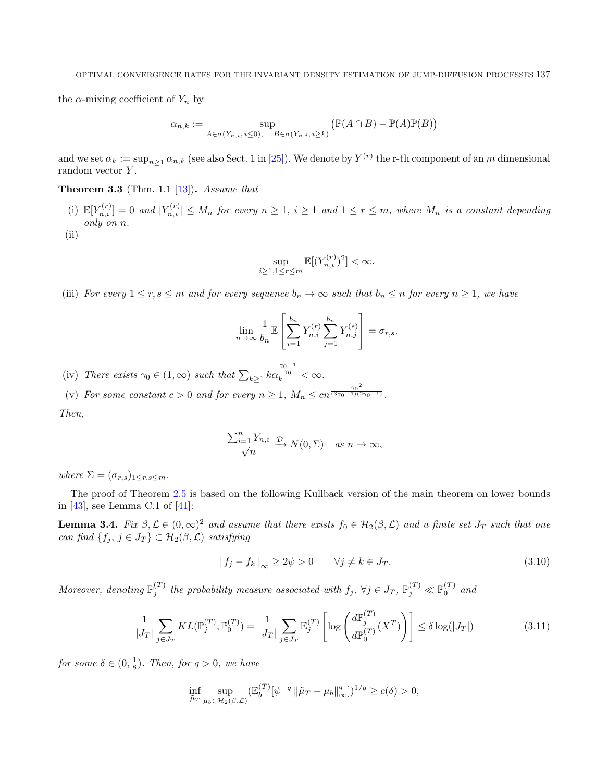the  $\alpha$ -mixing coefficient of  $Y_n$  by

$$
\alpha_{n,k} := \sup_{A \in \sigma(Y_{n,i}, i \le 0), \ B \in \sigma(Y_{n,i}, i \ge k)} (\mathbb{P}(A \cap B) - \mathbb{P}(A)\mathbb{P}(B))
$$

and we set  $\alpha_k := \sup_{n \geq 1} \alpha_{n,k}$  (see also Sect. 1 in [\[25\]](#page-24-25)). We denote by  $Y^{(r)}$  the r-th component of an m dimensional random vector Y.

<span id="page-11-1"></span>**Theorem 3.3** (Thm. 1.1 [\[13\]](#page-24-22)). Assume that

- (i)  $\mathbb{E}[Y_{n,i}^{(r)}] = 0$  and  $|Y_{n,i}^{(r)}| \leq M_n$  for every  $n \geq 1$ ,  $i \geq 1$  and  $1 \leq r \leq m$ , where  $M_n$  is a constant depending only on n.
- (ii)

$$
\sup_{i\geq 1, 1\leq r\leq m}\mathbb{E}[(Y_{n,i}^{(r)})^2]<\infty.
$$

(iii) For every  $1 \le r, s \le m$  and for every sequence  $b_n \to \infty$  such that  $b_n \le n$  for every  $n \ge 1$ , we have

$$
\lim_{n \to \infty} \frac{1}{b_n} \mathbb{E}\left[\sum_{i=1}^{b_n} Y_{n,i}^{(r)} \sum_{j=1}^{b_n} Y_{n,j}^{(s)}\right] = \sigma_{r,s}.
$$

(iv) There exists  $\gamma_0 \in (1, \infty)$  such that  $\sum_{k \geq 1} k \alpha_k^{\frac{\gamma_0 - 1}{\gamma_0}} < \infty$ .

(v) For some constant  $c > 0$  and for every  $n \ge 1$ ,  $M_n \le cn^{\frac{\gamma_0^2}{(3\gamma_0 - 1)(2\gamma_0)}}$  $\frac{1}{(3\gamma_0-1)(2\gamma_0-1)}$ .

Then,

$$
\frac{\sum_{i=1}^n Y_{n,i}}{\sqrt{n}} \xrightarrow{\mathcal{D}} N(0,\Sigma) \quad \text{as } n \to \infty,
$$

where  $\Sigma = (\sigma_{r,s})_{1 \leq r,s \leq m}$ .

The proof of Theorem [2.5](#page-6-2) is based on the following Kullback version of the main theorem on lower bounds in [\[43\]](#page-25-11), see Lemma C.1 of [\[41\]](#page-25-17):

<span id="page-11-0"></span>**Lemma 3.4.** Fix  $\beta, \mathcal{L} \in (0,\infty)^2$  and assume that there exists  $f_0 \in \mathcal{H}_2(\beta,\mathcal{L})$  and a finite set  $J_T$  such that one can find  $\{f_j, j \in J_T\} \subset \mathcal{H}_2(\beta, \mathcal{L})$  satisfying

$$
\|f_j - f_k\|_{\infty} \ge 2\psi > 0 \qquad \forall j \neq k \in J_T. \tag{3.10}
$$

Moreover, denoting  $\mathbb{P}_j^{(T)}$  the probability measure associated with  $f_j$ ,  $\forall j \in J_T$ ,  $\mathbb{P}_j^{(T)} \ll \mathbb{P}_0^{(T)}$  and

$$
\frac{1}{|J_T|} \sum_{j \in J_T} KL(\mathbb{P}_j^{(T)}, \mathbb{P}_0^{(T)}) = \frac{1}{|J_T|} \sum_{j \in J_T} \mathbb{E}_j^{(T)} \left[ \log \left( \frac{d\mathbb{P}_j^{(T)}}{d\mathbb{P}_0^{(T)}} (X^T) \right) \right] \le \delta \log(|J_T|)
$$
(3.11)

for some  $\delta \in (0, \frac{1}{8})$ . Then, for  $q > 0$ , we have

$$
\inf_{\tilde{\mu}_T} \sup_{\mu_b \in \mathcal{H}_2(\beta, \mathcal{L})} (\mathbb{E}_b^{(T)} [\psi^{-q} \|\tilde{\mu}_T - \mu_b\|_{\infty}^q])^{1/q} \ge c(\delta) > 0,
$$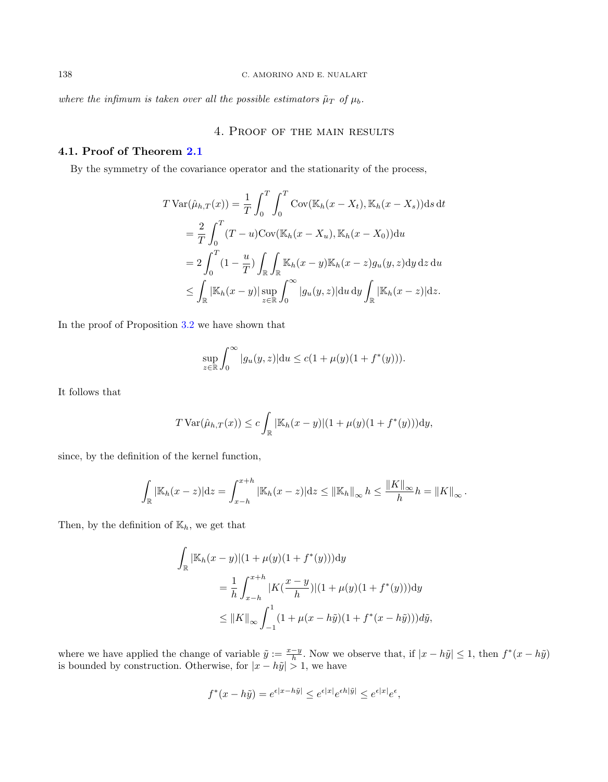where the infimum is taken over all the possible estimators  $\tilde{\mu}_T$  of  $\mu_b$ .

# 4. Proof of the main results

## <span id="page-12-1"></span><span id="page-12-0"></span>4.1. Proof of Theorem [2.1](#page-4-0)

By the symmetry of the covariance operator and the stationarity of the process,

$$
T \operatorname{Var}(\hat{\mu}_{h,T}(x)) = \frac{1}{T} \int_0^T \int_0^T \operatorname{Cov}(\mathbb{K}_h(x - X_t), \mathbb{K}_h(x - X_s)) \mathrm{d} s \, \mathrm{d} t
$$
  
\n
$$
= \frac{2}{T} \int_0^T (T - u) \operatorname{Cov}(\mathbb{K}_h(x - X_u), \mathbb{K}_h(x - X_0)) \mathrm{d} u
$$
  
\n
$$
= 2 \int_0^T (1 - \frac{u}{T}) \int_{\mathbb{R}} \int_{\mathbb{R}} \mathbb{K}_h(x - y) \mathbb{K}_h(x - z) g_u(y, z) \mathrm{d} y \, \mathrm{d} z \, \mathrm{d} u
$$
  
\n
$$
\leq \int_{\mathbb{R}} |\mathbb{K}_h(x - y)| \sup_{z \in \mathbb{R}} \int_0^\infty |g_u(y, z)| \mathrm{d} u \, \mathrm{d} y \int_{\mathbb{R}} |\mathbb{K}_h(x - z)| \mathrm{d} z.
$$

In the proof of Proposition [3.2](#page-8-0) we have shown that

$$
\sup_{z \in \mathbb{R}} \int_0^\infty |g_u(y, z)| \mathrm{d}u \le c(1 + \mu(y)(1 + f^*(y))).
$$

It follows that

$$
T \text{Var}(\hat{\mu}_{h,T}(x)) \le c \int_{\mathbb{R}} |\mathbb{K}_h(x-y)| (1+\mu(y)(1+f^*(y))) \, dy,
$$

since, by the definition of the kernel function,

$$
\int_{\mathbb{R}} |\mathbb{K}_{h}(x-z)| dz = \int_{x-h}^{x+h} |\mathbb{K}_{h}(x-z)| dz \leq ||\mathbb{K}_{h}||_{\infty} h \leq \frac{||K||_{\infty}}{h} h = ||K||_{\infty}.
$$

Then, by the definition of  $\mathbb{K}_h$ , we get that

$$
\int_{\mathbb{R}} |\mathbb{K}_h(x - y)|(1 + \mu(y)(1 + f^*(y))) \mathrm{d}y
$$
\n
$$
= \frac{1}{h} \int_{x - h}^{x + h} |K(\frac{x - y}{h})|(1 + \mu(y)(1 + f^*(y))) \mathrm{d}y
$$
\n
$$
\leq ||K||_{\infty} \int_{-1}^{1} (1 + \mu(x - h\tilde{y})(1 + f^*(x - h\tilde{y}))) \mathrm{d}\tilde{y},
$$

where we have applied the change of variable  $\tilde{y} := \frac{x-y}{h}$ . Now we observe that, if  $|x - h\tilde{y}| \leq 1$ , then  $f^*(x - h\tilde{y})$ is bounded by construction. Otherwise, for  $|x - h\tilde{y}| > 1$ , we have

$$
f^*(x - h\tilde{y}) = e^{\epsilon |x - h\tilde{y}|} \le e^{\epsilon |x|} e^{\epsilon h |\tilde{y}|} \le e^{\epsilon |x|} e^{\epsilon},
$$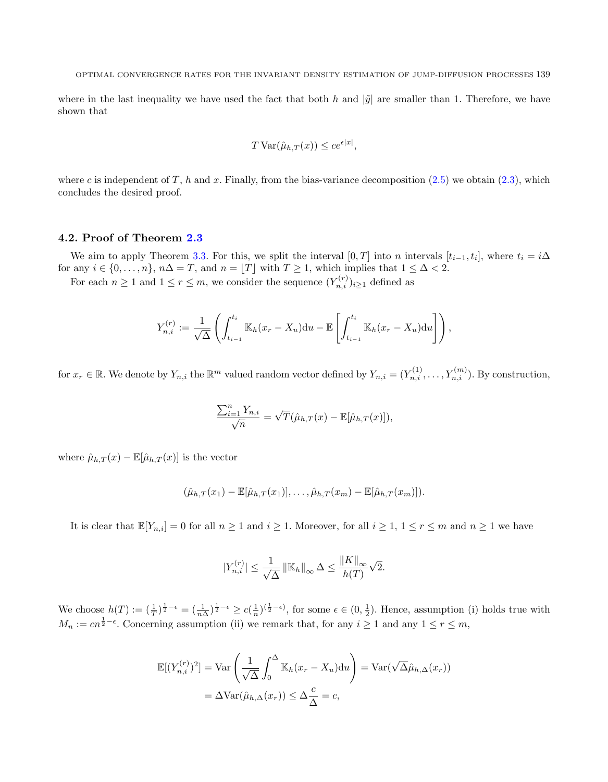where in the last inequality we have used the fact that both h and  $|\tilde{y}|$  are smaller than 1. Therefore, we have shown that

$$
T \operatorname{Var}(\hat{\mu}_{h,T}(x)) \le ce^{\epsilon |x|},
$$

where c is independent of T, h and x. Finally, from the bias-variance decomposition  $(2.5)$  we obtain  $(2.3)$ , which concludes the desired proof.

# 4.2. Proof of Theorem [2.3](#page-5-0)

We aim to apply Theorem [3.3.](#page-11-1) For this, we split the interval  $[0,T]$  into n intervals  $[t_{i-1}, t_i]$ , where  $t_i = i\Delta$ for any  $i \in \{0, \ldots, n\}$ ,  $n\Delta = T$ , and  $n = \lfloor T \rfloor$  with  $T \ge 1$ , which implies that  $1 \le \Delta < 2$ .

For each  $n \geq 1$  and  $1 \leq r \leq m$ , we consider the sequence  $(Y_{n,i}^{(r)})_{i \geq 1}$  defined as

$$
Y_{n,i}^{(r)} := \frac{1}{\sqrt{\Delta}} \left( \int_{t_{i-1}}^{t_i} \mathbb{K}_h(x_r - X_u) \mathrm{d}u - \mathbb{E} \left[ \int_{t_{i-1}}^{t_i} \mathbb{K}_h(x_r - X_u) \mathrm{d}u \right] \right),
$$

for  $x_r \in \mathbb{R}$ . We denote by  $Y_{n,i}$  the  $\mathbb{R}^m$  valued random vector defined by  $Y_{n,i} = (Y_{n,i}^{(1)}, \ldots, Y_{n,i}^{(m)})$ . By construction,

$$
\frac{\sum_{i=1}^{n} Y_{n,i}}{\sqrt{n}} = \sqrt{T}(\hat{\mu}_{h,T}(x) - \mathbb{E}[\hat{\mu}_{h,T}(x)]),
$$

where  $\hat{\mu}_{h,T}(x) - \mathbb{E}[\hat{\mu}_{h,T}(x)]$  is the vector

$$
(\hat{\mu}_{h,T}(x_1)-\mathbb{E}[\hat{\mu}_{h,T}(x_1)],\ldots,\hat{\mu}_{h,T}(x_m)-\mathbb{E}[\hat{\mu}_{h,T}(x_m)]).
$$

It is clear that  $\mathbb{E}[Y_{n,i}] = 0$  for all  $n \geq 1$  and  $i \geq 1$ . Moreover, for all  $i \geq 1$ ,  $1 \leq r \leq m$  and  $n \geq 1$  we have

$$
|Y_{n,i}^{(r)}|\leq \frac{1}{\sqrt{\Delta}}\left\|\mathbb{K}_h\right\|_{\infty} \Delta \leq \frac{\left\|K\right\|_{\infty}}{h(T)}\sqrt{2}.
$$

We choose  $h(T) := (\frac{1}{T})^{\frac{1}{2}-\epsilon} = (\frac{1}{n\Delta})^{\frac{1}{2}-\epsilon} \geq c(\frac{1}{n})^{(\frac{1}{2}-\epsilon)}$ , for some  $\epsilon \in (0, \frac{1}{2})$ . Hence, assumption (i) holds true with  $M_n := cn^{\frac{1}{2}-\epsilon}$ . Concerning assumption (ii) we remark that, for any  $i \geq 1$  and any  $1 \leq r \leq m$ ,

$$
\mathbb{E}[(Y_{n,i}^{(r)})^2] = \text{Var}\left(\frac{1}{\sqrt{\Delta}} \int_0^{\Delta} \mathbb{K}_h(x_r - X_u) \mathrm{d}u\right) = \text{Var}(\sqrt{\Delta}\hat{\mu}_{h,\Delta}(x_r))
$$

$$
= \Delta \text{Var}(\hat{\mu}_{h,\Delta}(x_r)) \le \Delta \frac{c}{\Delta} = c,
$$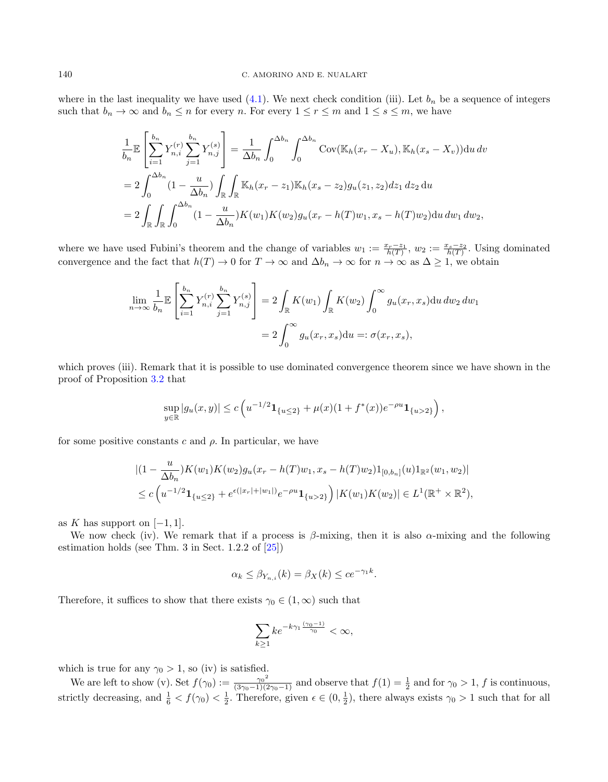where in the last inequality we have used  $(4.1)$ . We next check condition (iii). Let  $b_n$  be a sequence of integers such that  $b_n \to \infty$  and  $b_n \leq n$  for every n. For every  $1 \leq r \leq m$  and  $1 \leq s \leq m$ , we have

$$
\frac{1}{b_n} \mathbb{E} \left[ \sum_{i=1}^{b_n} Y_{n,i}^{(r)} \sum_{j=1}^{b_n} Y_{n,j}^{(s)} \right] = \frac{1}{\Delta b_n} \int_0^{\Delta b_n} \int_0^{\Delta b_n} \text{Cov}(\mathbb{K}_h(x_r - X_u), \mathbb{K}_h(x_s - X_v)) du dv
$$
  
\n
$$
= 2 \int_0^{\Delta b_n} (1 - \frac{u}{\Delta b_n}) \int_{\mathbb{R}} \int_{\mathbb{R}} \mathbb{K}_h(x_r - z_1) \mathbb{K}_h(x_s - z_2) g_u(z_1, z_2) dz_1 dz_2 du
$$
  
\n
$$
= 2 \int_{\mathbb{R}} \int_{\mathbb{R}} \int_0^{\Delta b_n} (1 - \frac{u}{\Delta b_n}) K(w_1) K(w_2) g_u(x_r - h(T) w_1, x_s - h(T) w_2) du dw_1 dw_2,
$$

where we have used Fubini's theorem and the change of variables  $w_1 := \frac{x_r - z_1}{h(T)}$ ,  $w_2 := \frac{x_s - z_2}{h(T)}$ . Using dominated convergence and the fact that  $h(T) \to 0$  for  $T \to \infty$  and  $\Delta b_n \to \infty$  for  $n \to \infty$  as  $\Delta \geq 1$ , we obtain

$$
\lim_{n \to \infty} \frac{1}{b_n} \mathbb{E} \left[ \sum_{i=1}^{b_n} Y_{n,i}^{(r)} \sum_{j=1}^{b_n} Y_{n,j}^{(s)} \right] = 2 \int_{\mathbb{R}} K(w_1) \int_{\mathbb{R}} K(w_2) \int_0^{\infty} g_u(x_r, x_s) \mathrm{d}u \, dw_2 \, dw_1
$$

$$
= 2 \int_0^{\infty} g_u(x_r, x_s) \mathrm{d}u =: \sigma(x_r, x_s),
$$

which proves (iii). Remark that it is possible to use dominated convergence theorem since we have shown in the proof of Proposition [3.2](#page-8-0) that

$$
\sup_{y \in \mathbb{R}} |g_u(x, y)| \le c \left( u^{-1/2} \mathbf{1}_{\{u \le 2\}} + \mu(x) (1 + f^*(x)) e^{-\rho u} \mathbf{1}_{\{u > 2\}} \right),
$$

for some positive constants c and  $\rho$ . In particular, we have

$$
\begin{aligned} & \left| (1 - \frac{u}{\Delta b_n}) K(w_1) K(w_2) g_u(x_r - h(T)w_1, x_s - h(T)w_2) 1_{[0, b_n]}(u) 1_{\mathbb{R}^2}(w_1, w_2) \right| \\ &\leq c \left( u^{-1/2} \mathbf{1}_{\{u \leq 2\}} + e^{\epsilon(|x_r| + |w_1|)} e^{-\rho u} \mathbf{1}_{\{u > 2\}} \right) |K(w_1) K(w_2)| \in L^1(\mathbb{R}^+ \times \mathbb{R}^2), \end{aligned}
$$

as K has support on  $[-1, 1]$ .

We now check (iv). We remark that if a process is  $\beta$ -mixing, then it is also  $\alpha$ -mixing and the following estimation holds (see Thm. 3 in Sect. 1.2.2 of [\[25\]](#page-24-25))

$$
\alpha_k \le \beta_{Y_{n,i}}(k) = \beta_X(k) \le ce^{-\gamma_1 k}.
$$

Therefore, it suffices to show that there exists  $\gamma_0 \in (1,\infty)$  such that

$$
\sum_{k\geq 1}ke^{-k\gamma_1\frac{(\gamma_0-1)}{\gamma_0}}<\infty,
$$

which is true for any  $\gamma_0 > 1$ , so (iv) is satisfied.

We are left to show (v). Set  $f(\gamma_0) := \frac{\gamma_0^2}{(3\gamma_0 - 1)(2\gamma_0 - 1)}$  and observe that  $f(1) = \frac{1}{2}$  and for  $\gamma_0 > 1$ , f is continuous, strictly decreasing, and  $\frac{1}{6} < f(\gamma_0) < \frac{1}{2}$ . Therefore, given  $\epsilon \in (0, \frac{1}{2})$ , there always exists  $\gamma_0 > 1$  such that for all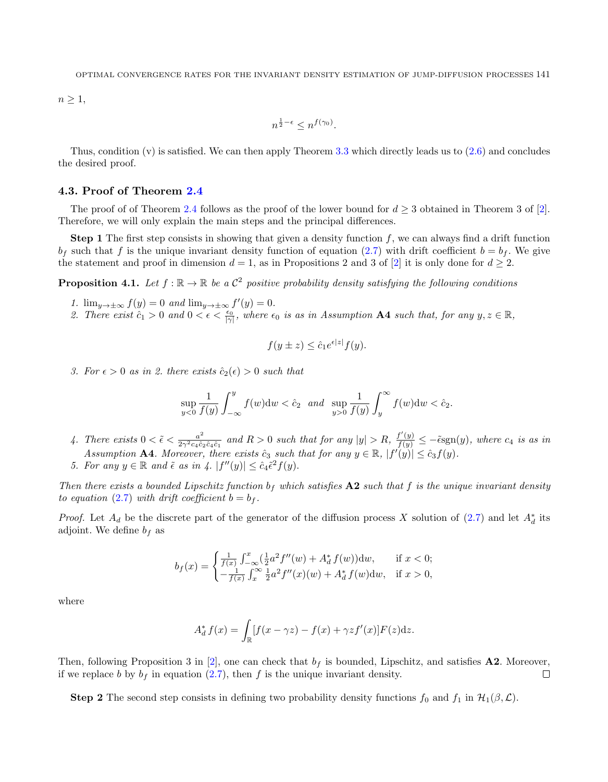$n \geq 1$ ,

$$
n^{\frac{1}{2}-\epsilon} \le n^{f(\gamma_0)}.
$$

Thus, condition  $(v)$  is satisfied. We can then apply Theorem [3.3](#page-11-1) which directly leads us to  $(2.6)$  and concludes the desired proof.

### <span id="page-15-0"></span>4.3. Proof of Theorem [2.4](#page-6-1)

The proof of of Theorem [2.4](#page-6-1) follows as the proof of the lower bound for  $d \geq 3$  obtained in Theorem 3 of [\[2\]](#page-24-4). Therefore, we will only explain the main steps and the principal differences.

**Step 1** The first step consists in showing that given a density function  $f$ , we can always find a drift function  $b_f$  such that f is the unique invariant density function of equation [\(2.7\)](#page-6-3) with drift coefficient  $b = b_f$ . We give the statement and proof in dimension  $d = 1$ , as in Propositions 2 and 3 of [\[2\]](#page-24-4) it is only done for  $d \geq 2$ .

<span id="page-15-1"></span>**Proposition 4.1.** Let  $f : \mathbb{R} \to \mathbb{R}$  be a  $\mathcal{C}^2$  positive probability density satisfying the following conditions

- 1.  $\lim_{y \to \pm \infty} f(y) = 0$  and  $\lim_{y \to \pm \infty} f'(y) = 0$ .
- 2. There exist  $\hat{c}_1 > 0$  and  $0 < \epsilon < \frac{\epsilon_0}{|\gamma|}$ , where  $\epsilon_0$  is as in Assumption A4 such that, for any  $y, z \in \mathbb{R}$ ,

$$
f(y \pm z) \leq \hat{c}_1 e^{\epsilon |z|} f(y).
$$

3. For  $\epsilon > 0$  as in 2. there exists  $\hat{c}_2(\epsilon) > 0$  such that

$$
\sup_{y<0} \frac{1}{f(y)} \int_{-\infty}^{y} f(w) \mathrm{d}w < \hat{c}_2 \quad and \quad \sup_{y>0} \frac{1}{f(y)} \int_{y}^{\infty} f(w) \mathrm{d}w < \hat{c}_2.
$$

- 4. There exists  $0 < \tilde{\epsilon} < \frac{a^2}{2\alpha^2 c_1 \hat{c}_1}$  $\frac{a^2}{2\gamma^2c_4\hat{c}_2\hat{c}_4\hat{c}_1}$  and  $R>0$  such that for any  $|y|>R$ ,  $\frac{f'(y)}{f(y)} \leq -\tilde{c}sgn(y)$ , where  $c_4$  is as in Assumption A4. Moreover, there exists  $\hat{c}_3$  such that for any  $y \in \mathbb{R}$ ,  $|f'(y)| \leq \hat{c}_3 f(y)$ .
- 5. For any  $y \in \mathbb{R}$  and  $\tilde{\epsilon}$  as in 4.  $|f''(y)| \leq \hat{c}_4 \tilde{\epsilon}^2 f(y)$ .

Then there exists a bounded Lipschitz function  $b_f$  which satisfies  $A2$  such that f is the unique invariant density to equation [\(2.7\)](#page-6-3) with drift coefficient  $b = b_f$ .

*Proof.* Let  $A_d$  be the discrete part of the generator of the diffusion process X solution of  $(2.7)$  and let  $A_d^*$  its adjoint. We define  $b_f$  as

$$
b_f(x) = \begin{cases} \frac{1}{f(x)} \int_{-\infty}^x (\frac{1}{2} a^2 f''(w) + A_d^* f(w)) \mathrm{d}w, & \text{if } x < 0; \\ -\frac{1}{f(x)} \int_x^{\infty} \frac{1}{2} a^2 f''(x)(w) + A_d^* f(w) \mathrm{d}w, & \text{if } x > 0, \end{cases}
$$

where

$$
A_d^* f(x) = \int_{\mathbb{R}} [f(x - \gamma z) - f(x) + \gamma z f'(x)] F(z) dz.
$$

Then, following Proposition 3 in [\[2\]](#page-24-4), one can check that  $b_f$  is bounded, Lipschitz, and satisfies A2. Moreover, if we replace b by  $b_f$  in equation [\(2.7\)](#page-6-3), then f is the unique invariant density.  $\Box$ 

**Step 2** The second step consists in defining two probability density functions  $f_0$  and  $f_1$  in  $\mathcal{H}_1(\beta,\mathcal{L})$ .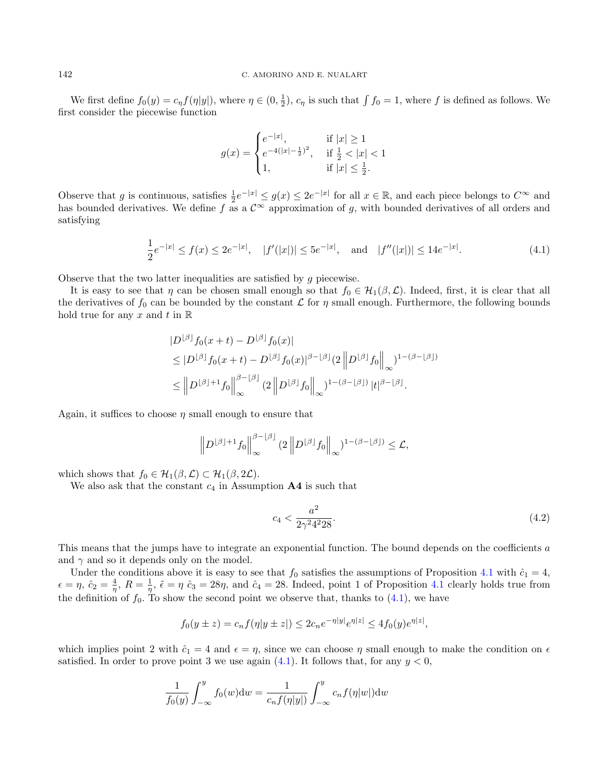#### 142 C. AMORINO AND E. NUALART

We first define  $f_0(y) = c_\eta f(\eta |y|)$ , where  $\eta \in (0, \frac{1}{2})$ ,  $c_\eta$  is such that  $\int f_0 = 1$ , where f is defined as follows. We first consider the piecewise function

$$
g(x) = \begin{cases} e^{-|x|}, & \text{if } |x| \ge 1\\ e^{-4(|x| - \frac{1}{2})^2}, & \text{if } \frac{1}{2} < |x| < 1\\ 1, & \text{if } |x| \le \frac{1}{2}. \end{cases}
$$

Observe that g is continuous, satisfies  $\frac{1}{2}e^{-|x|} \leq g(x) \leq 2e^{-|x|}$  for all  $x \in \mathbb{R}$ , and each piece belongs to  $C^{\infty}$  and has bounded derivatives. We define f as a  $\mathcal{C}^{\infty}$  approximation of g, with bounded derivatives of all orders and satisfying

<span id="page-16-0"></span>
$$
\frac{1}{2}e^{-|x|} \le f(x) \le 2e^{-|x|}, \quad |f'(|x|)| \le 5e^{-|x|}, \quad \text{and} \quad |f''(|x|)| \le 14e^{-|x|}. \tag{4.1}
$$

Observe that the two latter inequalities are satisfied by g piecewise.

It is easy to see that  $\eta$  can be chosen small enough so that  $f_0 \in \mathcal{H}_1(\beta, \mathcal{L})$ . Indeed, first, it is clear that all the derivatives of  $f_0$  can be bounded by the constant  $\mathcal L$  for  $\eta$  small enough. Furthermore, the following bounds hold true for any  $x$  and  $t$  in  $\mathbb R$ 

$$
|D^{[\beta]} f_0(x+t) - D^{[\beta]} f_0(x)|
$$
  
\n
$$
\leq |D^{[\beta]} f_0(x+t) - D^{[\beta]} f_0(x)|^{\beta - [\beta]} (2 ||D^{[\beta]} f_0||)_{\infty})^{1-(\beta - [\beta])}
$$
  
\n
$$
\leq ||D^{[\beta]+1} f_0||_{\infty}^{\beta - [\beta]} (2 ||D^{[\beta]} f_0||)_{\infty})^{1-(\beta - [\beta])} |t|^{\beta - [\beta]}.
$$

Again, it suffices to choose  $\eta$  small enough to ensure that

$$
\left\|D^{\lfloor\beta\rfloor+1}f_0\right\|_{\infty}^{\beta-\lfloor\beta\rfloor}(2\left\|D^{\lfloor\beta\rfloor}f_0\right\|_{\infty})^{1-(\beta-\lfloor\beta\rfloor)}\leq\mathcal{L},
$$

which shows that  $f_0 \in \mathcal{H}_1(\beta, \mathcal{L}) \subset \mathcal{H}_1(\beta, 2\mathcal{L})$ .

We also ask that the constant  $c_4$  in Assumption  $\bf{A4}$  is such that

<span id="page-16-1"></span>
$$
c_4 < \frac{a^2}{2\gamma^2 4^2 28}.\tag{4.2}
$$

This means that the jumps have to integrate an exponential function. The bound depends on the coefficients a and  $\gamma$  and so it depends only on the model.

Under the conditions above it is easy to see that  $f_0$  satisfies the assumptions of Proposition [4.1](#page-15-1) with  $\hat{c}_1 = 4$ ,  $\epsilon = \eta$ ,  $\hat{c}_2 = \frac{4}{\eta}$ ,  $R = \frac{1}{\eta}$ ,  $\tilde{\epsilon} = \eta$   $\hat{c}_3 = 28\eta$ , and  $\hat{c}_4 = 28$ . Indeed, point 1 of Proposition [4.1](#page-15-1) clearly holds true from the definition of  $f_0$ . To show the second point we observe that, thanks to  $(4.1)$ , we have

$$
f_0(y \pm z) = c_n f(\eta | y \pm z|) \le 2c_n e^{-\eta |y|} e^{\eta |z|} \le 4f_0(y) e^{\eta |z|},
$$

which implies point 2 with  $\hat{c}_1 = 4$  and  $\epsilon = \eta$ , since we can choose  $\eta$  small enough to make the condition on  $\epsilon$ satisfied. In order to prove point 3 we use again  $(4.1)$ . It follows that, for any  $y < 0$ ,

$$
\frac{1}{f_0(y)} \int_{-\infty}^{y} f_0(w) \mathrm{d}w = \frac{1}{c_n f(\eta|y|)} \int_{-\infty}^{y} c_n f(\eta|w|) \mathrm{d}w
$$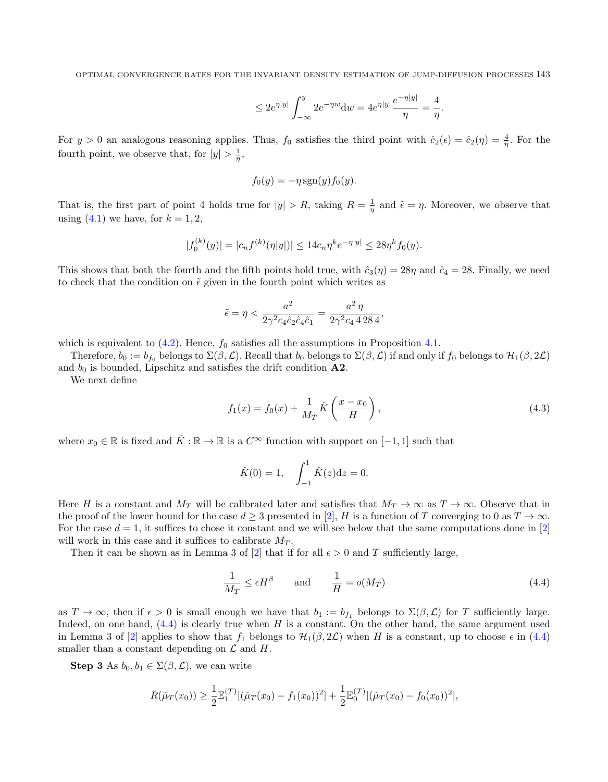$$
\leq 2e^{\eta|y|} \int_{-\infty}^{y} 2e^{-\eta w} dw = 4e^{\eta|y|} \frac{e^{-\eta|y|}}{\eta} = \frac{4}{\eta}.
$$

For  $y > 0$  an analogous reasoning applies. Thus,  $f_0$  satisfies the third point with  $\hat{c}_2(\epsilon) = \hat{c}_2(\eta) = \frac{4}{\eta}$ . For the fourth point, we observe that, for  $|y| > \frac{1}{\eta}$ ,

$$
f_0(y) = -\eta \operatorname{sgn}(y) f_0(y).
$$

That is, the first part of point 4 holds true for  $|y| > R$ , taking  $R = \frac{1}{\eta}$  and  $\tilde{\epsilon} = \eta$ . Moreover, we observe that using  $(4.1)$  we have, for  $k = 1, 2$ ,

$$
|f_0^{(k)}(y)| = |c_n f^{(k)}(\eta |y|)| \le 14c_n \eta^k e^{-\eta |y|} \le 28\eta^k f_0(y).
$$

This shows that both the fourth and the fifth points hold true, with  $\hat{c}_3(\eta) = 28\eta$  and  $\hat{c}_4 = 28$ . Finally, we need to check that the condition on  $\tilde{\epsilon}$  given in the fourth point which writes as

$$
\tilde{\epsilon} = \eta < \frac{a^2}{2\gamma^2 c_4 \hat{c}_2 \hat{c}_4 \hat{c}_1} = \frac{a^2 \eta}{2\gamma^2 c_4 4284},
$$

which is equivalent to  $(4.2)$ . Hence,  $f_0$  satisfies all the assumptions in Proposition [4.1.](#page-15-1)

Therefore,  $b_0 := b_{f_0}$  belongs to  $\Sigma(\beta, \mathcal{L})$ . Recall that  $b_0$  belongs to  $\Sigma(\beta, \mathcal{L})$  if and only if  $f_0$  belongs to  $\mathcal{H}_1(\beta, 2\mathcal{L})$ and  $b_0$  is bounded, Lipschitz and satisfies the drift condition  $\mathbf{A2}$ .

We next define

<span id="page-17-1"></span>
$$
f_1(x) = f_0(x) + \frac{1}{M_T} \hat{K} \left( \frac{x - x_0}{H} \right),
$$
\n(4.3)

where  $x_0 \in \mathbb{R}$  is fixed and  $\hat{K} : \mathbb{R} \to \mathbb{R}$  is a  $C^{\infty}$  function with support on  $[-1, 1]$  such that

$$
\hat{K}(0) = 1, \quad \int_{-1}^{1} \hat{K}(z)dz = 0.
$$

Here H is a constant and  $M_T$  will be calibrated later and satisfies that  $M_T \to \infty$  as  $T \to \infty$ . Observe that in the proof of the lower bound for the case  $d \geq 3$  presented in [\[2\]](#page-24-4), H is a function of T converging to 0 as  $T \to \infty$ . For the case  $d = 1$ , it suffices to chose it constant and we will see below that the same computations done in [\[2\]](#page-24-4) will work in this case and it suffices to calibrate  $M_T$ .

Then it can be shown as in Lemma 3 of [\[2\]](#page-24-4) that if for all  $\epsilon > 0$  and T sufficiently large,

<span id="page-17-0"></span>
$$
\frac{1}{M_T} \le \epsilon H^{\beta} \quad \text{and} \quad \frac{1}{H} = o(M_T) \tag{4.4}
$$

as  $T \to \infty$ , then if  $\epsilon > 0$  is small enough we have that  $b_1 := b_{f_1}$  belongs to  $\Sigma(\beta, \mathcal{L})$  for T sufficiently large. Indeed, on one hand,  $(4.4)$  is clearly true when H is a constant. On the other hand, the same argument used in Lemma 3 of [\[2\]](#page-24-4) applies to show that  $f_1$  belongs to  $\mathcal{H}_1(\beta, 2\mathcal{L})$  when H is a constant, up to choose  $\epsilon$  in [\(4.4\)](#page-17-0) smaller than a constant depending on  $\mathcal L$  and  $H$ .

**Step 3** As  $b_0, b_1 \in \Sigma(\beta, \mathcal{L})$ , we can write

$$
R(\tilde{\mu}_T(x_0)) \geq \frac{1}{2} \mathbb{E}_1^{(T)}[(\tilde{\mu}_T(x_0) - f_1(x_0))^2] + \frac{1}{2} \mathbb{E}_0^{(T)}[(\tilde{\mu}_T(x_0) - f_0(x_0))^2],
$$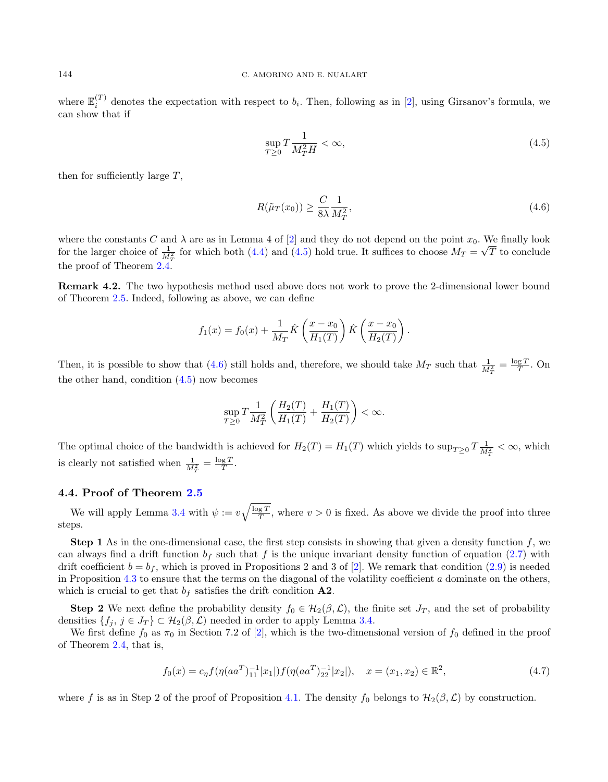where  $\mathbb{E}_i^{(T)}$  denotes the expectation with respect to  $b_i$ . Then, following as in [\[2\]](#page-24-4), using Girsanov's formula, we can show that if

<span id="page-18-1"></span>
$$
\sup_{T\geq 0} T \frac{1}{M_T^2 H} < \infty,\tag{4.5}
$$

then for sufficiently large  $T$ ,

<span id="page-18-2"></span>
$$
R(\tilde{\mu}_T(x_0)) \ge \frac{C}{8\lambda} \frac{1}{M_T^2},\tag{4.6}
$$

where the constants C and  $\lambda$  are as in Lemma 4 of [\[2\]](#page-24-4) and they do not depend on the point  $x_0$ . We finally look for the larger choice of  $\frac{1}{M_T^2}$  for which both [\(4.4\)](#page-17-0) and [\(4.5\)](#page-18-1) hold true. It suffices to choose  $M_T = \sqrt{T}$  to conclude the proof of Theorem [2.4.](#page-6-1)

<span id="page-18-0"></span>Remark 4.2. The two hypothesis method used above does not work to prove the 2-dimensional lower bound of Theorem [2.5.](#page-6-2) Indeed, following as above, we can define

$$
f_1(x) = f_0(x) + \frac{1}{M_T} \hat{K}\left(\frac{x - x_0}{H_1(T)}\right) \hat{K}\left(\frac{x - x_0}{H_2(T)}\right).
$$

Then, it is possible to show that [\(4.6\)](#page-18-2) still holds and, therefore, we should take  $M_T$  such that  $\frac{1}{M_T^2} = \frac{\log T}{T}$ . On T the other hand, condition [\(4.5\)](#page-18-1) now becomes

$$
\sup_{T\geq 0} T \frac{1}{M_T^2} \left( \frac{H_2(T)}{H_1(T)} + \frac{H_1(T)}{H_2(T)} \right) < \infty.
$$

The optimal choice of the bandwidth is achieved for  $H_2(T) = H_1(T)$  which yields to  $\sup_{T \geq 0} T \frac{1}{M_T^2} < \infty$ , which is clearly not satisfied when  $\frac{1}{M_T^2} = \frac{\log T}{T}$ .

# 4.4. Proof of Theorem [2.5](#page-6-2)

We will apply Lemma [3.4](#page-11-0) with  $\psi := v \sqrt{\frac{\log T}{T}}$ , where  $v > 0$  is fixed. As above we divide the proof into three steps.

Step 1 As in the one-dimensional case, the first step consists in showing that given a density function f, we can always find a drift function  $b_f$  such that f is the unique invariant density function of equation [\(2.7\)](#page-6-3) with drift coefficient  $b = b_f$ , which is proved in Propositions 2 and 3 of [\[2\]](#page-24-4). We remark that condition [\(2.9\)](#page-6-4) is needed in Proposition  $4.3$  to ensure that the terms on the diagonal of the volatility coefficient  $a$  dominate on the others, which is crucial to get that  $b_f$  satisfies the drift condition  $\mathbf{A2}$ .

**Step 2** We next define the probability density  $f_0 \in \mathcal{H}_2(\beta, \mathcal{L})$ , the finite set  $J_T$ , and the set of probability densities  $\{f_j, j \in J_T\} \subset \mathcal{H}_2(\beta, \mathcal{L})$  needed in order to apply Lemma [3.4.](#page-11-0)

We first define  $f_0$  as  $\pi_0$  in Section 7.2 of [\[2\]](#page-24-4), which is the two-dimensional version of  $f_0$  defined in the proof of Theorem [2.4,](#page-6-1) that is,

<span id="page-18-3"></span>
$$
f_0(x) = c_{\eta} f(\eta(a a^T)_{11}^{-1} |x_1|) f(\eta(a a^T)_{22}^{-1} |x_2|), \quad x = (x_1, x_2) \in \mathbb{R}^2,
$$
\n(4.7)

where f is as in Step 2 of the proof of Proposition [4.1.](#page-15-1) The density  $f_0$  belongs to  $\mathcal{H}_2(\beta,\mathcal{L})$  by construction.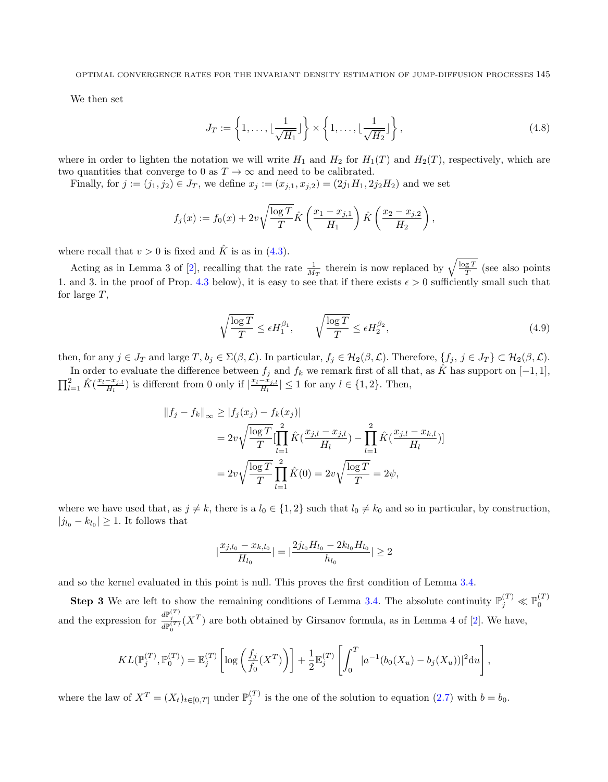OPTIMAL CONVERGENCE RATES FOR THE INVARIANT DENSITY ESTIMATION OF JUMP-DIFFUSION PROCESSES 145

We then set

$$
J_T := \left\{1, \ldots, \lfloor \frac{1}{\sqrt{H_1}} \rfloor \right\} \times \left\{1, \ldots, \lfloor \frac{1}{\sqrt{H_2}} \rfloor \right\},\tag{4.8}
$$

where in order to lighten the notation we will write  $H_1$  and  $H_2$  for  $H_1(T)$  and  $H_2(T)$ , respectively, which are two quantities that converge to 0 as  $T \to \infty$  and need to be calibrated.

Finally, for  $j := (j_1, j_2) \in J_T$ , we define  $x_j := (x_{j,1}, x_{j,2}) = (2j_1H_1, 2j_2H_2)$  and we set

$$
f_j(x) := f_0(x) + 2v \sqrt{\frac{\log T}{T}} \hat{K}\left(\frac{x_1 - x_{j,1}}{H_1}\right) \hat{K}\left(\frac{x_2 - x_{j,2}}{H_2}\right),
$$

where recall that  $v > 0$  is fixed and  $\hat{K}$  is as in [\(4.3\)](#page-17-1).

Acting as in Lemma 3 of [\[2\]](#page-24-4), recalling that the rate  $\frac{1}{M_T}$  therein is now replaced by  $\sqrt{\frac{\log T}{T}}$  (see also points 1. and 3. in the proof of Prop. [4.3](#page-20-0) below), it is easy to see that if there exists  $\epsilon > 0$  sufficiently small such that for large T,

<span id="page-19-0"></span>
$$
\sqrt{\frac{\log T}{T}} \le \epsilon H_1^{\beta_1}, \qquad \sqrt{\frac{\log T}{T}} \le \epsilon H_2^{\beta_2},\tag{4.9}
$$

then, for any  $j \in J_T$  and large  $T, b_j \in \Sigma(\beta, \mathcal{L})$ . In particular,  $f_j \in \mathcal{H}_2(\beta, \mathcal{L})$ . Therefore,  $\{f_j, j \in J_T\} \subset \mathcal{H}_2(\beta, \mathcal{L})$ .

In order to evaluate the difference between  $f_j$  and  $f_k$  we remark first of all that, as K has support on  $[-1, 1]$ ,  $\prod_{l=1}^2 \hat{K}(\frac{x_l-x_{j,l}}{H_l}$  $\frac{-x_{j,l}}{H_l}$ ) is different from 0 only if  $\left| \frac{x_l - x_{j,l}}{H_l} \right|$  $\left|\frac{-x_{j,l}}{H_l}\right| \leq 1$  for any  $l \in \{1,2\}$ . Then,

$$
||f_j - f_k||_{\infty} \ge |f_j(x_j) - f_k(x_j)|
$$
  
=  $2v \sqrt{\frac{\log T}{T}} [\prod_{l=1}^2 \hat{K}(\frac{x_{j,l} - x_{j,l}}{H_l}) - \prod_{l=1}^2 \hat{K}(\frac{x_{j,l} - x_{k,l}}{H_l})]$   
=  $2v \sqrt{\frac{\log T}{T}} \prod_{l=1}^2 \hat{K}(0) = 2v \sqrt{\frac{\log T}{T}} = 2\psi$ ,

where we have used that, as  $j \neq k$ , there is a  $l_0 \in \{1,2\}$  such that  $l_0 \neq k_0$  and so in particular, by construction,  $|j_{l_0} - k_{l_0}| \geq 1$ . It follows that

$$
\left|\frac{x_{j,l_0}-x_{k,l_0}}{H_{l_0}}\right| = \left|\frac{2j_{l_0}H_{l_0}-2k_{l_0}H_{l_0}}{h_{l_0}}\right| \ge 2
$$

and so the kernel evaluated in this point is null. This proves the first condition of Lemma [3.4.](#page-11-0)

**Step 3** We are left to show the remaining conditions of Lemma [3.4.](#page-11-0) The absolute continuity  $\mathbb{P}_j^{(T)} \ll \mathbb{P}_0^{(T)}$ and the expression for  $\frac{d\mathbb{P}_j^{(T)}}{d\mathbb{P}_0^{(T)}}(X^T)$  are both obtained by Girsanov formula, as in Lemma 4 of [\[2\]](#page-24-4). We have,

$$
KL(\mathbb{P}_j^{(T)}, \mathbb{P}_0^{(T)}) = \mathbb{E}_j^{(T)} \left[ \log \left( \frac{f_j}{f_0}(X^T) \right) \right] + \frac{1}{2} \mathbb{E}_j^{(T)} \left[ \int_0^T |a^{-1}(b_0(X_u) - b_j(X_u))|^2 du \right],
$$

where the law of  $X^T = (X_t)_{t \in [0,T]}$  under  $\mathbb{P}_j^{(T)}$  is the one of the solution to equation  $(2.7)$  with  $b = b_0$ .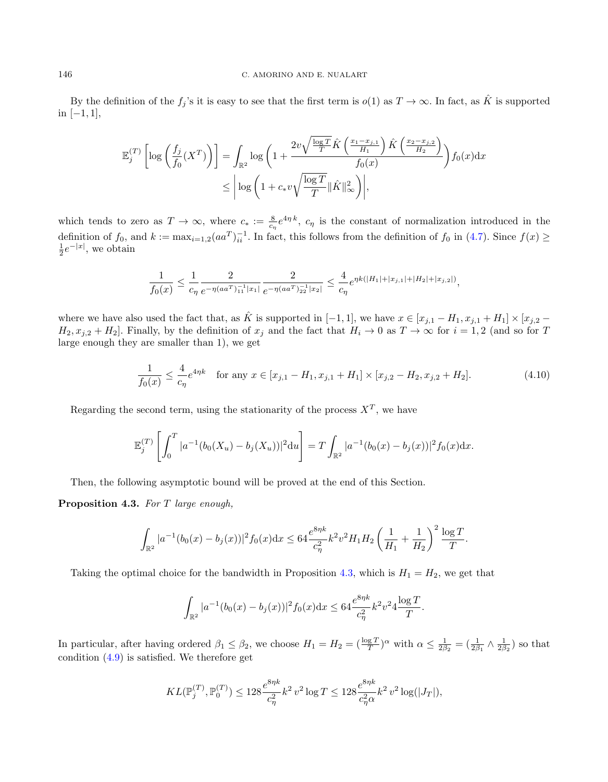By the definition of the  $f_j$ 's it is easy to see that the first term is  $o(1)$  as  $T \to \infty$ . In fact, as  $\hat{K}$  is supported in [−1, 1],

$$
\mathbb{E}_{j}^{(T)}\left[\log\left(\frac{f_{j}}{f_{0}}(X^{T})\right)\right] = \int_{\mathbb{R}^{2}} \log\left(1 + \frac{2v\sqrt{\frac{\log T}{T}}\hat{K}\left(\frac{x_{1} - x_{j,1}}{H_{1}}\right)\hat{K}\left(\frac{x_{2} - x_{j,2}}{H_{2}}\right)}{f_{0}(x)}\right) f_{0}(x) dx
$$
  

$$
\leq \left|\log\left(1 + c_{*}v\sqrt{\frac{\log T}{T}}\|\hat{K}\|_{\infty}^{2}\right)\right|,
$$

which tends to zero as  $T \to \infty$ , where  $c_* := \frac{8}{c_{\eta}} e^{4\eta k}$ ,  $c_{\eta}$  is the constant of normalization introduced in the definition of  $f_0$ , and  $k := \max_{i=1,2}(aa^T)^{-1}_{ii}$ . In fact, this follows from the definition of  $f_0$  in [\(4.7\)](#page-18-3). Since  $f(x) \ge$  $\frac{1}{2}e^{-|x|}$ , we obtain

$$
\frac{1}{f_0(x)}\leq \frac{1}{c_\eta}\frac{2}{e^{-\eta (aa^T)^{-1}_{11}|x_1|}}\frac{2}{e^{-\eta (aa^T)^{-1}_{22}|x_2|}}\leq \frac{4}{c_\eta}e^{\eta k(|H_1|+|x_{j,1}|+|H_2|+|x_{j,2}|)},
$$

where we have also used the fact that, as  $\hat{K}$  is supported in [−1, 1], we have  $x \in [x_{j,1} - H_1, x_{j,1} + H_1] \times [x_{j,2} - H_1]$  $H_2, x_{j,2} + H_2$ . Finally, by the definition of  $x_j$  and the fact that  $H_i \to 0$  as  $T \to \infty$  for  $i = 1,2$  (and so for T large enough they are smaller than 1), we get

<span id="page-20-1"></span>
$$
\frac{1}{f_0(x)} \le \frac{4}{c_\eta} e^{4\eta k} \quad \text{for any } x \in [x_{j,1} - H_1, x_{j,1} + H_1] \times [x_{j,2} - H_2, x_{j,2} + H_2]. \tag{4.10}
$$

Regarding the second term, using the stationarity of the process  $X<sup>T</sup>$ , we have

$$
\mathbb{E}_{j}^{(T)}\left[\int_{0}^{T}|a^{-1}(b_{0}(X_{u})-b_{j}(X_{u}))|^{2}\mathrm{d}u\right]=T\int_{\mathbb{R}^{2}}|a^{-1}(b_{0}(x)-b_{j}(x))|^{2}f_{0}(x)\mathrm{d}x.
$$

Then, the following asymptotic bound will be proved at the end of this Section.

<span id="page-20-0"></span>Proposition 4.3. For T large enough,

$$
\int_{\mathbb{R}^2} |a^{-1}(b_0(x) - b_j(x))|^2 f_0(x) dx \le 64 \frac{e^{8\eta k}}{c_\eta^2} k^2 v^2 H_1 H_2 \left(\frac{1}{H_1} + \frac{1}{H_2}\right)^2 \frac{\log T}{T}.
$$

Taking the optimal choice for the bandwidth in Proposition [4.3,](#page-20-0) which is  $H_1 = H_2$ , we get that

$$
\int_{\mathbb{R}^2} |a^{-1}(b_0(x) - b_j(x))|^2 f_0(x) dx \le 64 \frac{e^{8\eta k}}{c_\eta^2} k^2 v^2 4 \frac{\log T}{T}.
$$

In particular, after having ordered  $\beta_1 \leq \beta_2$ , we choose  $H_1 = H_2 = \left(\frac{\log T}{T}\right)^{\alpha}$  with  $\alpha \leq \frac{1}{2\beta_2} = \left(\frac{1}{2\beta_1} \wedge \frac{1}{2\beta_2}\right)$  so that condition  $(4.9)$  is satisfied. We therefore get

$$
KL(\mathbb{P}_j^{(T)}, \mathbb{P}_0^{(T)}) \le 128 \frac{e^{8\eta k}}{c_\eta^2} k^2 v^2 \log T \le 128 \frac{e^{8\eta k}}{c_\eta^2 \alpha} k^2 v^2 \log(|J_T|),
$$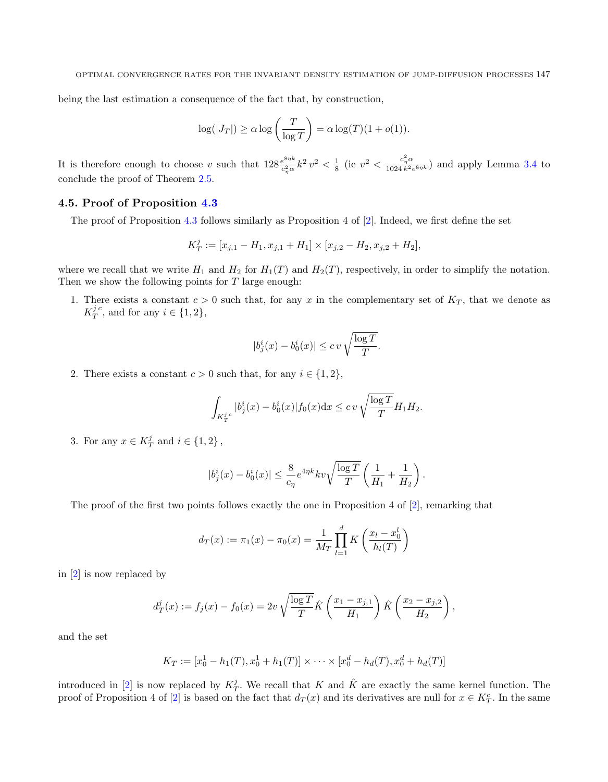being the last estimation a consequence of the fact that, by construction,

$$
\log(|J_T|) \ge \alpha \log\left(\frac{T}{\log T}\right) = \alpha \log(T)(1 + o(1)).
$$

It is therefore enough to choose v such that  $128 \frac{e^{8\eta k}}{c^2 \alpha}$  $\frac{e^{8\eta k}}{c_\eta^2 \alpha} k^2 v^2 < \frac{1}{8}$  (ie  $v^2 < \frac{c_\eta^2 \alpha}{1024 k^2}$  $\frac{c_{\eta}a}{1024 k^2 e^{8\eta k}}$  and apply Lemma [3.4](#page-11-0) to conclude the proof of Theorem [2.5.](#page-6-2)

## 4.5. Proof of Proposition [4.3](#page-20-0)

The proof of Proposition [4.3](#page-20-0) follows similarly as Proposition 4 of  $[2]$ . Indeed, we first define the set

$$
K_T^j := [x_{j,1} - H_1, x_{j,1} + H_1] \times [x_{j,2} - H_2, x_{j,2} + H_2],
$$

where we recall that we write  $H_1$  and  $H_2$  for  $H_1(T)$  and  $H_2(T)$ , respectively, in order to simplify the notation. Then we show the following points for  $T$  large enough:

1. There exists a constant  $c > 0$  such that, for any x in the complementary set of  $K_T$ , that we denote as  $K_T^{j\,c}$ , and for any  $i \in \{1,2\}$ ,

$$
|b^i_j(x)-b^i_0(x)|\leq c\,v\,\sqrt{\frac{\log T}{T}}.
$$

2. There exists a constant  $c > 0$  such that, for any  $i \in \{1, 2\}$ ,

$$
\int_{K_T^{j_c}} |b_j^i(x) - b_0^i(x)| f_0(x) \mathrm{d} x \leq c v \sqrt{\frac{\log T}{T}} H_1 H_2.
$$

3. For any  $x \in K_T^j$  and  $i \in \{1, 2\}$ ,

$$
|b^i_j(x)-b^i_0(x)|\leq \frac{8}{c_\eta}e^{4\eta k}k v\sqrt{\frac{\log T}{T}}\left(\frac{1}{H_1}+\frac{1}{H_2}\right)
$$

.

The proof of the first two points follows exactly the one in Proposition 4 of [\[2\]](#page-24-4), remarking that

$$
d_T(x) := \pi_1(x) - \pi_0(x) = \frac{1}{M_T} \prod_{l=1}^d K\left(\frac{x_l - x_0^l}{h_l(T)}\right)
$$

in [\[2\]](#page-24-4) is now replaced by

$$
d_T^j(x) := f_j(x) - f_0(x) = 2v \sqrt{\frac{\log T}{T}} \hat{K} \left( \frac{x_1 - x_{j,1}}{H_1} \right) \hat{K} \left( \frac{x_2 - x_{j,2}}{H_2} \right),
$$

and the set

$$
K_T := [x_0^1 - h_1(T), x_0^1 + h_1(T)] \times \cdots \times [x_0^d - h_d(T), x_0^d + h_d(T)]
$$

introduced in [\[2\]](#page-24-4) is now replaced by  $K_T^j$ . We recall that K and  $\hat{K}$  are exactly the same kernel function. The proof of Proposition 4 of [\[2\]](#page-24-4) is based on the fact that  $d_T(x)$  and its derivatives are null for  $x \in K_T^c$ . In the same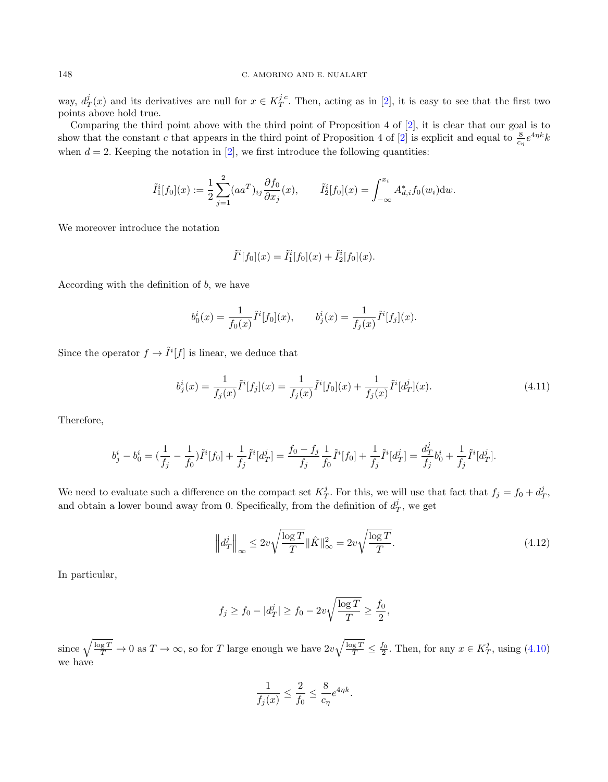way,  $d_T^j(x)$  and its derivatives are null for  $x \in K_T^{j.c}$ . Then, acting as in [\[2\]](#page-24-4), it is easy to see that the first two points above hold true.

Comparing the third point above with the third point of Proposition 4 of [\[2\]](#page-24-4), it is clear that our goal is to show that the constant c that appears in the third point of Proposition 4 of [\[2\]](#page-24-4) is explicit and equal to  $\frac{8}{c_{\eta}}e^{4\eta k}k$ when  $d = 2$ . Keeping the notation in [\[2\]](#page-24-4), we first introduce the following quantities:

$$
\tilde{I}_1^i[f_0](x) := \frac{1}{2} \sum_{j=1}^2 (aa^T)_{ij} \frac{\partial f_0}{\partial x_j}(x), \qquad \tilde{I}_2^i[f_0](x) = \int_{-\infty}^{x_i} A_{d,i}^* f_0(w_i) \mathrm{d}w.
$$

We moreover introduce the notation

$$
\tilde{I}^{i}[f_0](x) = \tilde{I}^{i}_{1}[f_0](x) + \tilde{I}^{i}_{2}[f_0](x).
$$

According with the definition of b, we have

$$
b_0^i(x) = \frac{1}{f_0(x)} \tilde{I}^i[f_0](x), \qquad b_j^i(x) = \frac{1}{f_j(x)} \tilde{I}^i[f_j](x).
$$

Since the operator  $f \to \tilde{I}^i[f]$  is linear, we deduce that

$$
b_j^i(x) = \frac{1}{f_j(x)} \tilde{I}^i[f_j](x) = \frac{1}{f_j(x)} \tilde{I}^i[f_0](x) + \frac{1}{f_j(x)} \tilde{I}^i[d_T^j](x).
$$
\n(4.11)

Therefore,

$$
b_j^i - b_0^i = (\frac{1}{f_j} - \frac{1}{f_0})\tilde{I}^i[f_0] + \frac{1}{f_j}\tilde{I}^i[d_T^j] = \frac{f_0 - f_j}{f_j}\frac{1}{f_0}\tilde{I}^i[f_0] + \frac{1}{f_j}\tilde{I}^i[d_T^j] = \frac{d_T^j}{f_j}b_0^i + \frac{1}{f_j}\tilde{I}^i[d_T^j].
$$

We need to evaluate such a difference on the compact set  $K_T^j$ . For this, we will use that fact that  $f_j = f_0 + d_T^j$ , and obtain a lower bound away from 0. Specifically, from the definition of  $d_T^j$ , we get

<span id="page-22-0"></span>
$$
\left\|d^j_T\right\|_{\infty} \le 2v\sqrt{\frac{\log T}{T}} \|\hat{K}\|^2_{\infty} = 2v\sqrt{\frac{\log T}{T}}.\tag{4.12}
$$

In particular,

$$
f_j \ge f_0 - |d_T^j| \ge f_0 - 2\nu \sqrt{\frac{\log T}{T}} \ge \frac{f_0}{2},
$$

since  $\sqrt{\frac{\log T}{T}} \to 0$  as  $T \to \infty$ , so for T large enough we have  $2v\sqrt{\frac{\log T}{T}} \le \frac{f_0}{2}$ . Then, for any  $x \in K_T^j$ , using [\(4.10\)](#page-20-1) we have

$$
\frac{1}{f_j(x)} \le \frac{2}{f_0} \le \frac{8}{c_\eta} e^{4\eta k}.
$$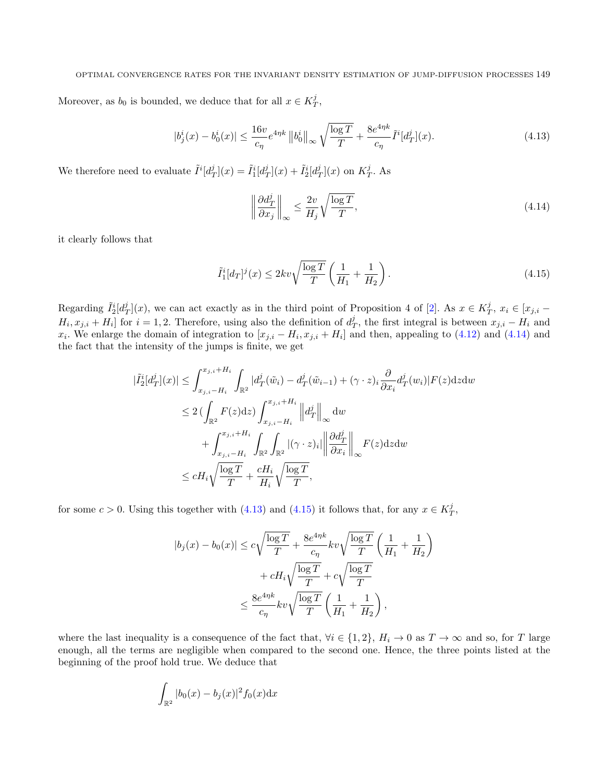Moreover, as  $b_0$  is bounded, we deduce that for all  $x \in K_T^j$ ,

<span id="page-23-1"></span>
$$
|b_j^i(x) - b_0^i(x)| \le \frac{16v}{c_\eta} e^{4\eta k} \|b_0^i\|_\infty \sqrt{\frac{\log T}{T}} + \frac{8e^{4\eta k}}{c_\eta} \tilde{I}^i[d_T^j](x). \tag{4.13}
$$

We therefore need to evaluate  $\tilde{I}^i[d_T^j](x) = \tilde{I}^i_1[d_T^j](x) + \tilde{I}^i_2[d_T^j](x)$  on  $K_T^j$ . As

<span id="page-23-0"></span>
$$
\left\|\frac{\partial d^j_T}{\partial x_j}\right\|_{\infty} \le \frac{2v}{H_j} \sqrt{\frac{\log T}{T}},\tag{4.14}
$$

it clearly follows that

<span id="page-23-2"></span>
$$
\tilde{I}_1^i[d_T]^j(x) \le 2kv\sqrt{\frac{\log T}{T}} \left(\frac{1}{H_1} + \frac{1}{H_2}\right). \tag{4.15}
$$

Regarding  $\tilde{I}_2^i[d_T^j](x)$ , we can act exactly as in the third point of Proposition 4 of [\[2\]](#page-24-4). As  $x \in K_T^j$ ,  $x_i \in [x_{j,i} H_i, x_{j,i} + H_i$  for  $i = 1, 2$ . Therefore, using also the definition of  $d_T^j$ , the first integral is between  $x_{j,i} - H_i$  and  $x_i$ . We enlarge the domain of integration to  $[x_{j,i} - H_i, x_{j,i} + H_i]$  and then, appealing to [\(4.12\)](#page-22-0) and [\(4.14\)](#page-23-0) and the fact that the intensity of the jumps is finite, we get

$$
\tilde{I}_{2}^{i}[d_{T}^{j}](x)] \leq \int_{x_{j,i}-H_{i}}^{x_{j,i}+H_{i}} \int_{\mathbb{R}^{2}} |d_{T}^{j}(\tilde{w}_{i}) - d_{T}^{j}(\tilde{w}_{i-1}) + (\gamma \cdot z)_{i} \frac{\partial}{\partial x_{i}} d_{T}^{j}(w_{i})| F(z) dz dw
$$
\n
$$
\leq 2 \left( \int_{\mathbb{R}^{2}} F(z) dz \right) \int_{x_{j,i}-H_{i}}^{x_{j,i}+H_{i}} \left\| d_{T}^{j} \right\|_{\infty} dw
$$
\n
$$
+ \int_{x_{j,i}-H_{i}}^{x_{j,i}+H_{i}} \int_{\mathbb{R}^{2}} \int_{\mathbb{R}^{2}} |(\gamma \cdot z)_{i}| \left\| \frac{\partial d_{T}^{j}}{\partial x_{i}} \right\|_{\infty} F(z) dz dw
$$
\n
$$
\leq c H_{i} \sqrt{\frac{\log T}{T}} + \frac{c H_{i}}{H_{i}} \sqrt{\frac{\log T}{T}},
$$

for some  $c > 0$ . Using this together with [\(4.13\)](#page-23-1) and [\(4.15\)](#page-23-2) it follows that, for any  $x \in K_T^j$ ,

$$
|b_j(x) - b_0(x)| \leq c\sqrt{\frac{\log T}{T}} + \frac{8e^{4\eta k}}{c_{\eta}}kv\sqrt{\frac{\log T}{T}} \left(\frac{1}{H_1} + \frac{1}{H_2}\right) + cH_i\sqrt{\frac{\log T}{T}} + c\sqrt{\frac{\log T}{T}} \leq \frac{8e^{4\eta k}}{c_{\eta}}kv\sqrt{\frac{\log T}{T}} \left(\frac{1}{H_1} + \frac{1}{H_2}\right),
$$

where the last inequality is a consequence of the fact that,  $\forall i \in \{1,2\}, H_i \to 0$  as  $T \to \infty$  and so, for T large enough, all the terms are negligible when compared to the second one. Hence, the three points listed at the beginning of the proof hold true. We deduce that

$$
\int_{\mathbb{R}^2} |b_0(x) - b_j(x)|^2 f_0(x) \mathrm{d}x
$$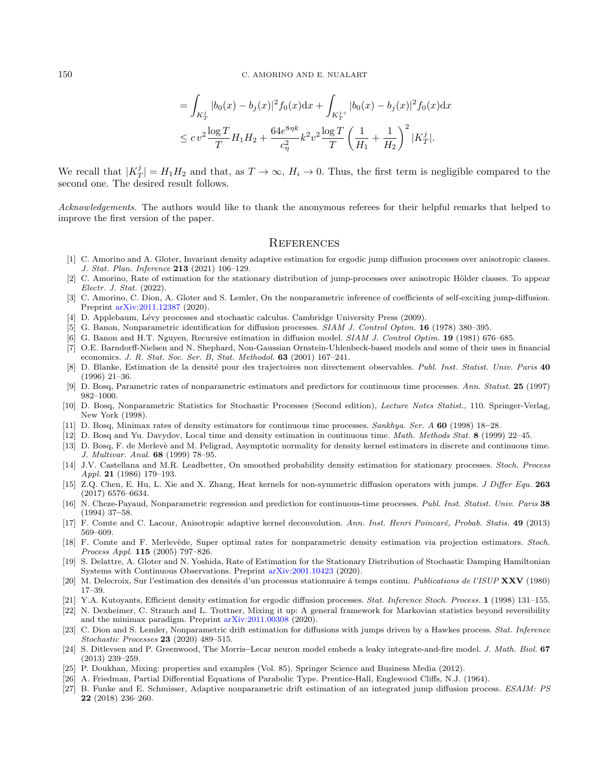$$
= \int_{K_T^j} |b_0(x) - b_j(x)|^2 f_0(x) dx + \int_{K_T^{j_c}} |b_0(x) - b_j(x)|^2 f_0(x) dx
$$
  

$$
\leq c v^2 \frac{\log T}{T} H_1 H_2 + \frac{64e^{8\eta k}}{c_{\eta}^2} k^2 v^2 \frac{\log T}{T} \left(\frac{1}{H_1} + \frac{1}{H_2}\right)^2 |K_T^j|.
$$

We recall that  $|K_T^j| = H_1 H_2$  and that, as  $T \to \infty$ ,  $H_i \to 0$ . Thus, the first term is negligible compared to the second one. The desired result follows.

Acknowledgements. The authors would like to thank the anonymous referees for their helpful remarks that helped to improve the first version of the paper.

### **REFERENCES**

- <span id="page-24-2"></span>[1] C. Amorino and A. Gloter, Invariant density adaptive estimation for ergodic jump diffusion processes over anisotropic classes. J. Stat. Plan. Inference 213 (2021) 106–129.
- <span id="page-24-4"></span>[2] C. Amorino, Rate of estimation for the stationary distribution of jump-processes over anisotropic Hölder classes. To appear Electr. J. Stat. (2022).
- <span id="page-24-7"></span>[3] C. Amorino, C. Dion, A. Gloter and S. Lemler, On the nonparametric inference of coefficients of self-exciting jump-diffusion. Preprint [arXiv:2011.12387](http://arxiv.org/abs/2011.12387) (2020).
- <span id="page-24-20"></span>[4] D. Applebaum, Lévy processes and stochastic calculus. Cambridge University Press (2009).
- <span id="page-24-8"></span>[5] G. Banon, Nonparametric identification for diffusion processes. SIAM J. Control Optim. 16 (1978) 380–395.
- <span id="page-24-11"></span>[6] G. Banon and H.T. Nguyen, Recursive estimation in diffusion model. SIAM J. Control Optim. 19 (1981) 676–685.
- <span id="page-24-0"></span>[7] O.E. Barndorff-Nielsen and N. Shephard, Non-Gaussian Ornstein-Uhlenbeck-based models and some of their uses in financial economics. J. R. Stat. Soc. Ser. B, Stat. Methodol. 63 (2001) 167–241.
- <span id="page-24-14"></span>[8] D. Blanke, Estimation de la densité pour des trajectoires non directement observables. Publ. Inst. Statist. Univ. Paris 40 (1996) 21–36.
- [9] D. Bosq, Parametric rates of nonparametric estimators and predictors for continuous time processes. Ann. Statist. 25 (1997) 982–1000.
- <span id="page-24-9"></span>[10] D. Bosq, Nonparametric Statistics for Stochastic Processes (Second edition), Lecture Notes Statist., 110. Springer-Verlag, New York (1998).
- <span id="page-24-12"></span>[11] D. Bosq, Minimax rates of density estimators for continuous time processes. Sankhya. Ser. A 60 (1998) 18–28.
- <span id="page-24-17"></span>[12] D. Bosq and Yu. Davydov, Local time and density estimation in continuous time. Math. Methods Stat. 8 (1999) 22–45.
- <span id="page-24-22"></span>[13] D. Bosq, F. de Merlevè and M. Peligrad, Asymptotic normality for density kernel estimators in discrete and continuous time. J. Multivar. Anal. 68 (1999) 78–95.
- <span id="page-24-13"></span>[14] J.V. Castellana and M.R. Leadbetter, On smoothed probability density estimation for stationary processes. Stoch. Process Appl. 21 (1986) 179–193.
- <span id="page-24-23"></span>[15] Z.Q. Chen, E. Hu, L. Xie and X. Zhang, Heat kernels for non-symmetric diffusion operators with jumps. J Differ Equ. 263 (2017) 6576–6634.
- <span id="page-24-15"></span>[16] N. Cheze-Payaud, Nonparametric regression and prediction for continuous-time processes. Publ. Inst. Statist. Univ. Paris 38 (1994) 37–58.
- <span id="page-24-21"></span>[17] F. Comte and C. Lacour, Anisotropic adaptive kernel deconvolution. Ann. Inst. Henri Poincaré, Probab. Statis. 49 (2013) 569–609.
- <span id="page-24-18"></span>[18] F. Comte and F. Merlevède, Super optimal rates for nonparametric density estimation via projection estimators. Stoch. Process Appl. 115 (2005) 797–826.
- <span id="page-24-19"></span>[19] S. Delattre, A. Gloter and N. Yoshida, Rate of Estimation for the Stationary Distribution of Stochastic Damping Hamiltonian Systems with Continuous Observations. Preprint [arXiv:2001.10423](http://arxiv.org/abs/2001.10423) (2020).
- <span id="page-24-10"></span>[20] M. Delecroix, Sur l'estimation des densités d'un processus stationnaire à temps continu. Publications de l'ISUP XXV (1980) 17–39.
- <span id="page-24-16"></span>[21] Y.A. Kutoyants, Efficient density estimation for ergodic diffusion processes. Stat. Inference Stoch. Process. 1 (1998) 131–155.
- <span id="page-24-3"></span>[22] N. Dexheimer, C. Strauch and L. Trottner, Mixing it up: A general framework for Markovian statistics beyond reversibility and the minimax paradigm. Preprint [arXiv:2011.00308](http://arxiv.org/abs/2011.00308) (2020).
- <span id="page-24-6"></span>[23] C. Dion and S. Lemler, Nonparametric drift estimation for diffusions with jumps driven by a Hawkes process. Stat. Inference Stochastic Processes 23 (2020) 489–515.
- <span id="page-24-1"></span>[24] S. Ditlevsen and P. Greenwood, The Morris–Lecar neuron model embeds a leaky integrate-and-fire model. J. Math. Biol. 67 (2013) 239–259.
- <span id="page-24-25"></span>[25] P. Doukhan, Mixing: properties and examples (Vol. 85). Springer Science and Business Media (2012).
- <span id="page-24-24"></span>[26] A. Friedman, Partial Differential Equations of Parabolic Type. Prentice-Hall, Englewood Cliffs, N.J. (1964).
- <span id="page-24-5"></span>[27] B. Funke and E. Schmisser, Adaptive nonparametric drift estimation of an integrated jump diffusion process. ESAIM: PS 22 (2018) 236–260.